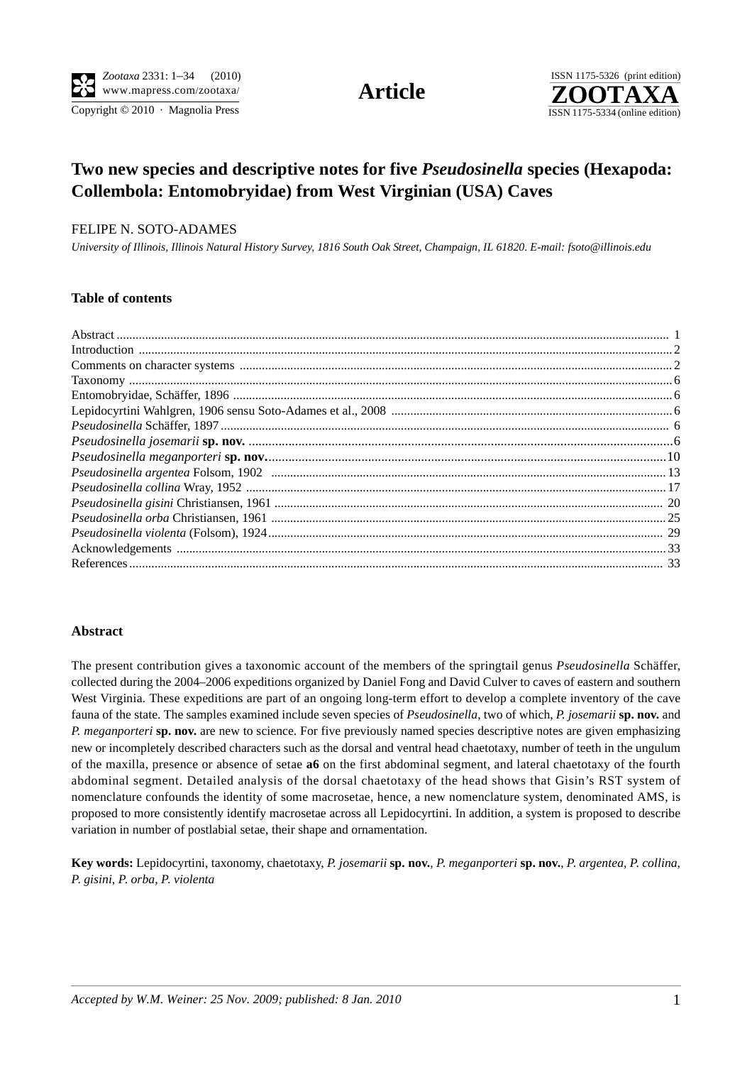Copyright  $© 2010$  · Magnolia Press ISSN 1175-5334 (online edition)



# **Two new species and descriptive notes for five** *Pseudosinella* **species (Hexapoda: Collembola: Entomobryidae) from West Virginian (USA) Caves**

#### FELIPE N. SOTO-ADAMES

*University of Illinois, Illinois Natural History Survey, 1816 South Oak Street, Champaign, IL 61820. E-mail: fsoto@illinois.edu*

## **Table of contents**

| Pseudosinella orba Christiansen, 1961 manual manual manual manual manual manual manual manual manual 25 |  |
|---------------------------------------------------------------------------------------------------------|--|
|                                                                                                         |  |
|                                                                                                         |  |
|                                                                                                         |  |
|                                                                                                         |  |

### **Abstract**

The present contribution gives a taxonomic account of the members of the springtail genus *Pseudosinella* Schäffer, collected during the 2004–2006 expeditions organized by Daniel Fong and David Culver to caves of eastern and southern West Virginia. These expeditions are part of an ongoing long-term effort to develop a complete inventory of the cave fauna of the state. The samples examined include seven species of *Pseudosinella*, two of which, *P. josemarii* **sp. nov.** and *P. meganporteri* **sp. nov.** are new to science. For five previously named species descriptive notes are given emphasizing new or incompletely described characters such as the dorsal and ventral head chaetotaxy, number of teeth in the ungulum of the maxilla, presence or absence of setae **a6** on the first abdominal segment, and lateral chaetotaxy of the fourth abdominal segment. Detailed analysis of the dorsal chaetotaxy of the head shows that Gisin's RST system of nomenclature confounds the identity of some macrosetae, hence, a new nomenclature system, denominated AMS, is proposed to more consistently identify macrosetae across all Lepidocyrtini. In addition, a system is proposed to describe variation in number of postlabial setae, their shape and ornamentation.

**Key words:** Lepidocyrtini, taxonomy, chaetotaxy, *P. josemarii* **sp. nov.**, *P*. *meganporteri* **sp. nov.**, *P*. *argentea*, *P*. *collina*, *P*. *gisini*, *P*. *orba*, *P*. *violenta*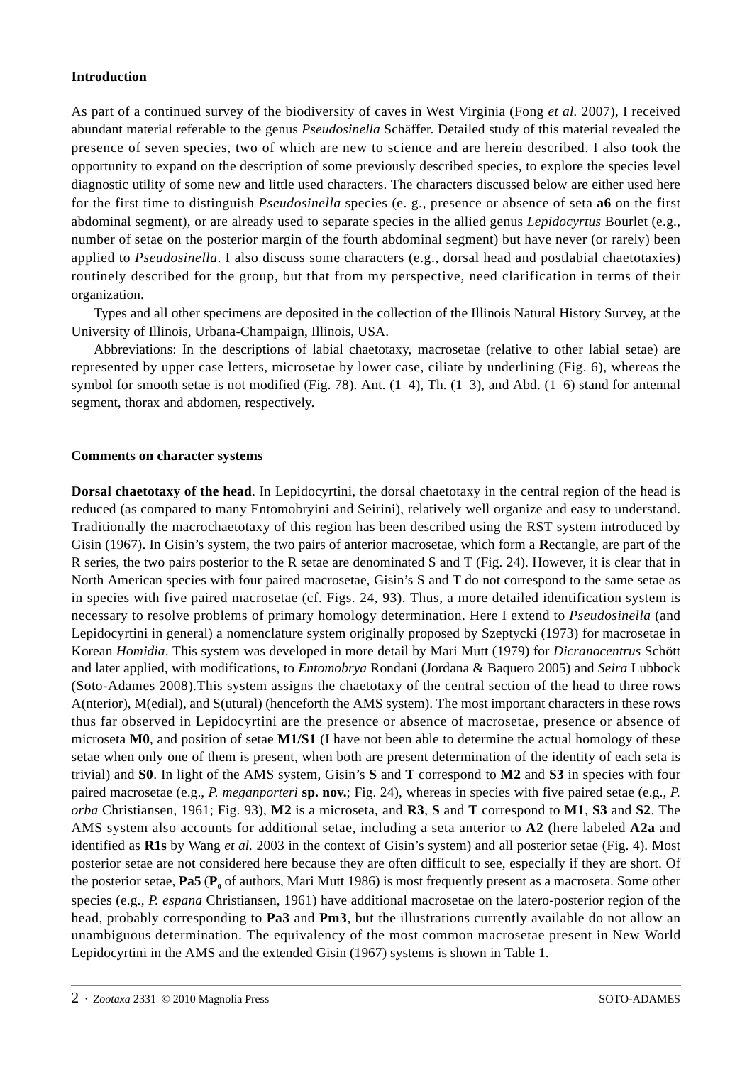#### **Introduction**

As part of a continued survey of the biodiversity of caves in West Virginia (Fong *et al.* 2007), I received abundant material referable to the genus *Pseudosinella* Schäffer. Detailed study of this material revealed the presence of seven species, two of which are new to science and are herein described. I also took the opportunity to expand on the description of some previously described species, to explore the species level diagnostic utility of some new and little used characters. The characters discussed below are either used here for the first time to distinguish *Pseudosinella* species (e. g., presence or absence of seta **a6** on the first abdominal segment), or are already used to separate species in the allied genus *Lepidocyrtus* Bourlet (e.g., number of setae on the posterior margin of the fourth abdominal segment) but have never (or rarely) been applied to *Pseudosinella*. I also discuss some characters (e.g., dorsal head and postlabial chaetotaxies) routinely described for the group, but that from my perspective, need clarification in terms of their organization.

Types and all other specimens are deposited in the collection of the Illinois Natural History Survey, at the University of Illinois, Urbana-Champaign, Illinois, USA.

Abbreviations: In the descriptions of labial chaetotaxy, macrosetae (relative to other labial setae) are represented by upper case letters, microsetae by lower case, ciliate by underlining (Fig. 6), whereas the symbol for smooth setae is not modified (Fig. 78). Ant. (1–4), Th. (1–3), and Abd. (1–6) stand for antennal segment, thorax and abdomen, respectively.

#### **Comments on character systems**

**Dorsal chaetotaxy of the head**. In Lepidocyrtini, the dorsal chaetotaxy in the central region of the head is reduced (as compared to many Entomobryini and Seirini), relatively well organize and easy to understand. Traditionally the macrochaetotaxy of this region has been described using the RST system introduced by Gisin (1967). In Gisin's system, the two pairs of anterior macrosetae, which form a **R**ectangle, are part of the R series, the two pairs posterior to the R setae are denominated S and T (Fig. 24). However, it is clear that in North American species with four paired macrosetae, Gisin's S and T do not correspond to the same setae as in species with five paired macrosetae (cf. Figs. 24, 93). Thus, a more detailed identification system is necessary to resolve problems of primary homology determination. Here I extend to *Pseudosinella* (and Lepidocyrtini in general) a nomenclature system originally proposed by Szeptycki (1973) for macrosetae in Korean *Homidia*. This system was developed in more detail by Mari Mutt (1979) for *Dicranocentrus* Schött and later applied, with modifications, to *Entomobrya* Rondani (Jordana & Baquero 2005) and *Seira* Lubbock (Soto-Adames 2008).This system assigns the chaetotaxy of the central section of the head to three rows A(nterior), M(edial), and S(utural) (henceforth the AMS system). The most important characters in these rows thus far observed in Lepidocyrtini are the presence or absence of macrosetae, presence or absence of microseta **M0**, and position of setae **M1/S1** (I have not been able to determine the actual homology of these setae when only one of them is present, when both are present determination of the identity of each seta is trivial) and **S0**. In light of the AMS system, Gisin's **S** and **T** correspond to **M2** and **S3** in species with four paired macrosetae (e.g., *P. meganporteri* **sp. nov.**; Fig. 24), whereas in species with five paired setae (e.g., *P. orba* Christiansen, 1961; Fig. 93), **M2** is a microseta, and **R3**, **S** and **T** correspond to **M1**, **S3** and **S2**. The AMS system also accounts for additional setae, including a seta anterior to **A2** (here labeled **A2a** and identified as **R1s** by Wang *et al.* 2003 in the context of Gisin's system) and all posterior setae (Fig. 4). Most posterior setae are not considered here because they are often difficult to see, especially if they are short. Of the posterior setae, **Pa5** ( $\mathbf{P}_0$  of authors, Mari Mutt 1986) is most frequently present as a macroseta. Some other species (e.g., *P. espana* Christiansen, 1961) have additional macrosetae on the latero-posterior region of the head, probably corresponding to **Pa3** and **Pm3**, but the illustrations currently available do not allow an unambiguous determination. The equivalency of the most common macrosetae present in New World Lepidocyrtini in the AMS and the extended Gisin (1967) systems is shown in Table 1.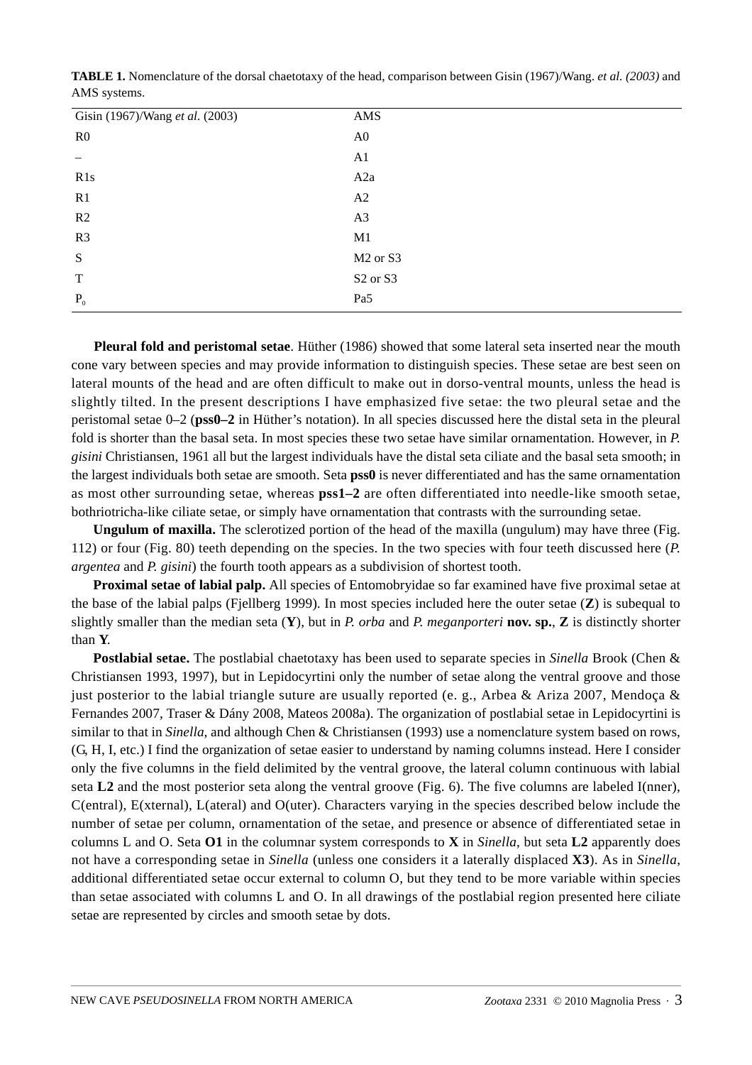| Gisin (1967)/Wang et al. (2003) | AMS                              |
|---------------------------------|----------------------------------|
| R <sub>0</sub>                  | A <sub>0</sub>                   |
|                                 | A1                               |
| R1s                             | A2a                              |
| R1                              | A2                               |
| R2                              | A3                               |
| R <sub>3</sub>                  | M1                               |
| ${\bf S}$                       | M <sub>2</sub> or S <sub>3</sub> |
| $\mathbf T$                     | S <sub>2</sub> or S <sub>3</sub> |
| $P_0$                           | Pa5                              |

**TABLE 1.** Nomenclature of the dorsal chaetotaxy of the head, comparison between Gisin (1967)/Wang. *et al. (2003)* and AMS systems.

**Pleural fold and peristomal setae**. Hüther (1986) showed that some lateral seta inserted near the mouth cone vary between species and may provide information to distinguish species. These setae are best seen on lateral mounts of the head and are often difficult to make out in dorso-ventral mounts, unless the head is slightly tilted. In the present descriptions I have emphasized five setae: the two pleural setae and the peristomal setae 0–2 (**pss0–2** in Hüther's notation). In all species discussed here the distal seta in the pleural fold is shorter than the basal seta. In most species these two setae have similar ornamentation. However, in *P. gisini* Christiansen, 1961 all but the largest individuals have the distal seta ciliate and the basal seta smooth; in the largest individuals both setae are smooth. Seta **pss0** is never differentiated and has the same ornamentation as most other surrounding setae, whereas **pss1–2** are often differentiated into needle-like smooth setae, bothriotricha-like ciliate setae, or simply have ornamentation that contrasts with the surrounding setae.

**Ungulum of maxilla.** The sclerotized portion of the head of the maxilla (ungulum) may have three (Fig. 112) or four (Fig. 80) teeth depending on the species. In the two species with four teeth discussed here (*P. argentea* and *P. gisini*) the fourth tooth appears as a subdivision of shortest tooth.

**Proximal setae of labial palp.** All species of Entomobryidae so far examined have five proximal setae at the base of the labial palps (Fjellberg 1999). In most species included here the outer setae (**Z**) is subequal to slightly smaller than the median seta (**Y**), but in *P. orba* and *P. meganporteri* **nov. sp.**, **Z** is distinctly shorter than **Y**.

**Postlabial setae.** The postlabial chaetotaxy has been used to separate species in *Sinella* Brook (Chen & Christiansen 1993, 1997), but in Lepidocyrtini only the number of setae along the ventral groove and those just posterior to the labial triangle suture are usually reported (e. g., Arbea & Ariza 2007, Mendoça & Fernandes 2007, Traser & Dány 2008, Mateos 2008a). The organization of postlabial setae in Lepidocyrtini is similar to that in *Sinella*, and although Chen & Christiansen (1993) use a nomenclature system based on rows, (G, H, I, etc.) I find the organization of setae easier to understand by naming columns instead. Here I consider only the five columns in the field delimited by the ventral groove, the lateral column continuous with labial seta **L2** and the most posterior seta along the ventral groove (Fig. 6). The five columns are labeled I(nner), C(entral), E(xternal), L(ateral) and O(uter). Characters varying in the species described below include the number of setae per column, ornamentation of the setae, and presence or absence of differentiated setae in columns L and O. Seta **O1** in the columnar system corresponds to **X** in *Sinella*, but seta **L2** apparently does not have a corresponding setae in *Sinella* (unless one considers it a laterally displaced **X3**). As in *Sinella*, additional differentiated setae occur external to column O, but they tend to be more variable within species than setae associated with columns L and O. In all drawings of the postlabial region presented here ciliate setae are represented by circles and smooth setae by dots.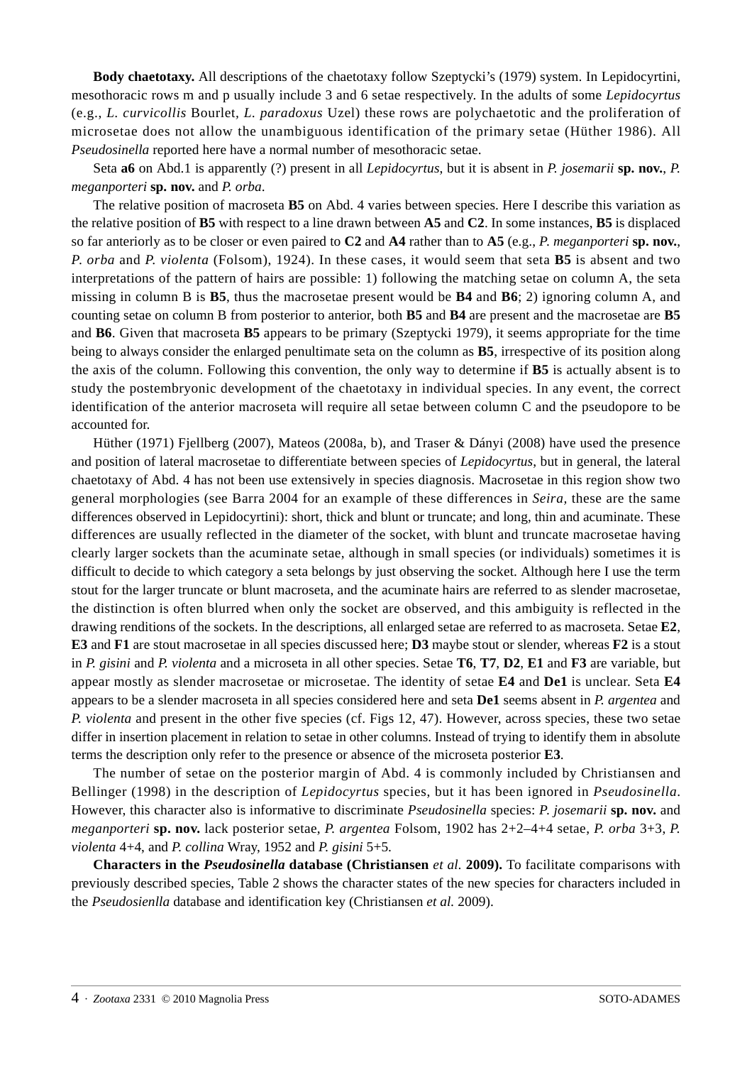**Body chaetotaxy.** All descriptions of the chaetotaxy follow Szeptycki's (1979) system. In Lepidocyrtini, mesothoracic rows m and p usually include 3 and 6 setae respectively. In the adults of some *Lepidocyrtus* (e.g., *L. curvicollis* Bourlet*, L. paradoxus* Uzel) these rows are polychaetotic and the proliferation of microsetae does not allow the unambiguous identification of the primary setae (Hüther 1986). All *Pseudosinella* reported here have a normal number of mesothoracic setae.

Seta **a6** on Abd.1 is apparently (?) present in all *Lepidocyrtus*, but it is absent in *P. josemarii* **sp. nov.**, *P. meganporteri* **sp. nov.** and *P. orba*.

The relative position of macroseta **B5** on Abd. 4 varies between species. Here I describe this variation as the relative position of **B5** with respect to a line drawn between **A5** and **C2**. In some instances, **B5** is displaced so far anteriorly as to be closer or even paired to **C2** and **A4** rather than to **A5** (e.g., *P*. *meganporteri* **sp. nov.**, *P*. *orba* and *P. violenta* (Folsom), 1924). In these cases, it would seem that seta **B5** is absent and two interpretations of the pattern of hairs are possible: 1) following the matching setae on column A, the seta missing in column B is **B5**, thus the macrosetae present would be **B4** and **B6**; 2) ignoring column A, and counting setae on column B from posterior to anterior, both **B5** and **B4** are present and the macrosetae are **B5** and **B6**. Given that macroseta **B5** appears to be primary (Szeptycki 1979), it seems appropriate for the time being to always consider the enlarged penultimate seta on the column as **B5**, irrespective of its position along the axis of the column. Following this convention, the only way to determine if **B5** is actually absent is to study the postembryonic development of the chaetotaxy in individual species. In any event, the correct identification of the anterior macroseta will require all setae between column C and the pseudopore to be accounted for.

Hüther (1971) Fjellberg (2007), Mateos (2008a, b), and Traser & Dányi (2008) have used the presence and position of lateral macrosetae to differentiate between species of *Lepidocyrtus*, but in general, the lateral chaetotaxy of Abd. 4 has not been use extensively in species diagnosis. Macrosetae in this region show two general morphologies (see Barra 2004 for an example of these differences in *Seira,* these are the same differences observed in Lepidocyrtini): short, thick and blunt or truncate; and long, thin and acuminate. These differences are usually reflected in the diameter of the socket, with blunt and truncate macrosetae having clearly larger sockets than the acuminate setae, although in small species (or individuals) sometimes it is difficult to decide to which category a seta belongs by just observing the socket. Although here I use the term stout for the larger truncate or blunt macroseta, and the acuminate hairs are referred to as slender macrosetae, the distinction is often blurred when only the socket are observed, and this ambiguity is reflected in the drawing renditions of the sockets. In the descriptions, all enlarged setae are referred to as macroseta. Setae **E2**, **E3** and **F1** are stout macrosetae in all species discussed here; **D3** maybe stout or slender, whereas **F2** is a stout in *P. gisini* and *P. violenta* and a microseta in all other species. Setae **T6**, **T7**, **D2**, **E1** and **F3** are variable, but appear mostly as slender macrosetae or microsetae. The identity of setae **E4** and **De1** is unclear. Seta **E4** appears to be a slender macroseta in all species considered here and seta **De1** seems absent in *P. argentea* and *P. violenta* and present in the other five species (cf. Figs 12, 47). However, across species, these two setae differ in insertion placement in relation to setae in other columns. Instead of trying to identify them in absolute terms the description only refer to the presence or absence of the microseta posterior **E3**.

The number of setae on the posterior margin of Abd. 4 is commonly included by Christiansen and Bellinger (1998) in the description of *Lepidocyrtus* species, but it has been ignored in *Pseudosinella*. However, this character also is informative to discriminate *Pseudosinella* species: *P*. *josemarii* **sp. nov.** and *meganporteri* **sp. nov.** lack posterior setae, *P. argentea* Folsom, 1902 has 2+2–4+4 setae, *P. orba* 3+3, *P. violenta* 4+4, and *P. collina* Wray, 1952 and *P. gisini* 5+5.

**Characters in the** *Pseudosinella* **database (Christiansen** *et al.* **2009).** To facilitate comparisons with previously described species, Table 2 shows the character states of the new species for characters included in the *Pseudosienlla* database and identification key (Christiansen *et al.* 2009).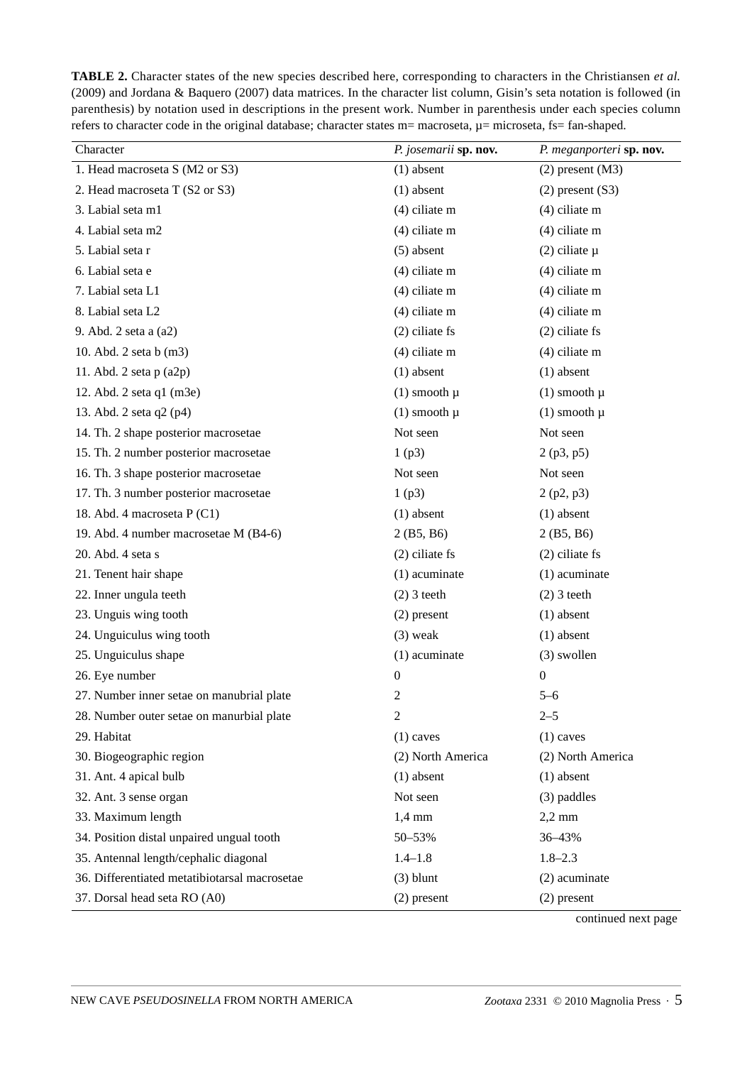| Character                                     | P. josemarii sp. nov. | P. meganporteri sp. nov. |
|-----------------------------------------------|-----------------------|--------------------------|
| 1. Head macroseta S (M2 or S3)                | $(1)$ absent          | $(2)$ present $(M3)$     |
| 2. Head macroseta T (S2 or S3)                | $(1)$ absent          | $(2)$ present $(S3)$     |
| 3. Labial seta m1                             | $(4)$ ciliate m       | $(4)$ ciliate m          |
| 4. Labial seta m2                             | $(4)$ ciliate m       | $(4)$ ciliate m          |
| 5. Labial seta r                              | $(5)$ absent          | $(2)$ ciliate $\mu$      |
| 6. Labial seta e                              | $(4)$ ciliate m       | $(4)$ ciliate m          |
| 7. Labial seta L1                             | $(4)$ ciliate m       | $(4)$ ciliate m          |
| 8. Labial seta L2                             | $(4)$ ciliate m       | $(4)$ ciliate m          |
| 9. Abd. 2 seta a (a2)                         | $(2)$ ciliate fs      | $(2)$ ciliate fs         |
|                                               |                       |                          |
| 10. Abd. 2 seta b (m3)                        | $(4)$ ciliate m       | $(4)$ ciliate m          |
| 11. Abd. $2$ seta $p(a2p)$                    | $(1)$ absent          | $(1)$ absent             |
| 12. Abd. 2 seta q1 (m3e)                      | $(1)$ smooth $\mu$    | $(1)$ smooth $\mu$       |
| 13. Abd. 2 seta q2 (p4)                       | $(1)$ smooth $\mu$    | $(1)$ smooth $\mu$       |
| 14. Th. 2 shape posterior macrosetae          | Not seen              | Not seen                 |
| 15. Th. 2 number posterior macrosetae         | 1(p3)                 | 2(p3, p5)                |
| 16. Th. 3 shape posterior macrosetae          | Not seen              | Not seen                 |
| 17. Th. 3 number posterior macrosetae         | 1(p3)                 | 2(p2, p3)                |
| 18. Abd. 4 macroseta P (C1)                   | $(1)$ absent          | $(1)$ absent             |
| 19. Abd. 4 number macrosetae M (B4-6)         | 2(B5, B6)             | 2(B5, B6)                |
| 20. Abd. 4 seta s                             | $(2)$ ciliate fs      | $(2)$ ciliate fs         |
| 21. Tenent hair shape                         | $(1)$ acuminate       | $(1)$ acuminate          |
| 22. Inner ungula teeth                        | $(2)$ 3 teeth         | $(2)$ 3 teeth            |
| 23. Unguis wing tooth                         | $(2)$ present         | $(1)$ absent             |
| 24. Unguiculus wing tooth                     | $(3)$ weak            | $(1)$ absent             |
| 25. Unguiculus shape                          | $(1)$ acuminate       | (3) swollen              |
| 26. Eye number                                | $\boldsymbol{0}$      | $\boldsymbol{0}$         |
| 27. Number inner setae on manubrial plate     | 2                     | $5 - 6$                  |
| 28. Number outer setae on manurbial plate     | 2                     | $2 - 5$                  |
| 29. Habitat                                   | $(1)$ caves           | $(1)$ caves              |
| 30. Biogeographic region                      | (2) North America     | (2) North America        |
| 31. Ant. 4 apical bulb                        | $(1)$ absent          | $(1)$ absent             |
| 32. Ant. 3 sense organ                        | Not seen              | (3) paddles              |
| 33. Maximum length                            | $1,4 \text{ mm}$      | $2,2$ mm                 |
| 34. Position distal unpaired ungual tooth     | 50-53%                | 36-43%                   |
| 35. Antennal length/cephalic diagonal         | $1.4 - 1.8$           | $1.8 - 2.3$              |
| 36. Differentiated metatibiotarsal macrosetae | $(3)$ blunt           | (2) acuminate            |
| 37. Dorsal head seta RO (A0)                  | $(2)$ present         | $(2)$ present            |

**TABLE 2.** Character states of the new species described here, corresponding to characters in the Christiansen *et al.* (2009) and Jordana & Baquero (2007) data matrices. In the character list column, Gisin's seta notation is followed (in parenthesis) by notation used in descriptions in the present work. Number in parenthesis under each species column refers to character code in the original database; character states  $m=$  macroseta,  $\mu=$  microseta, fs= fan-shaped.

continued next page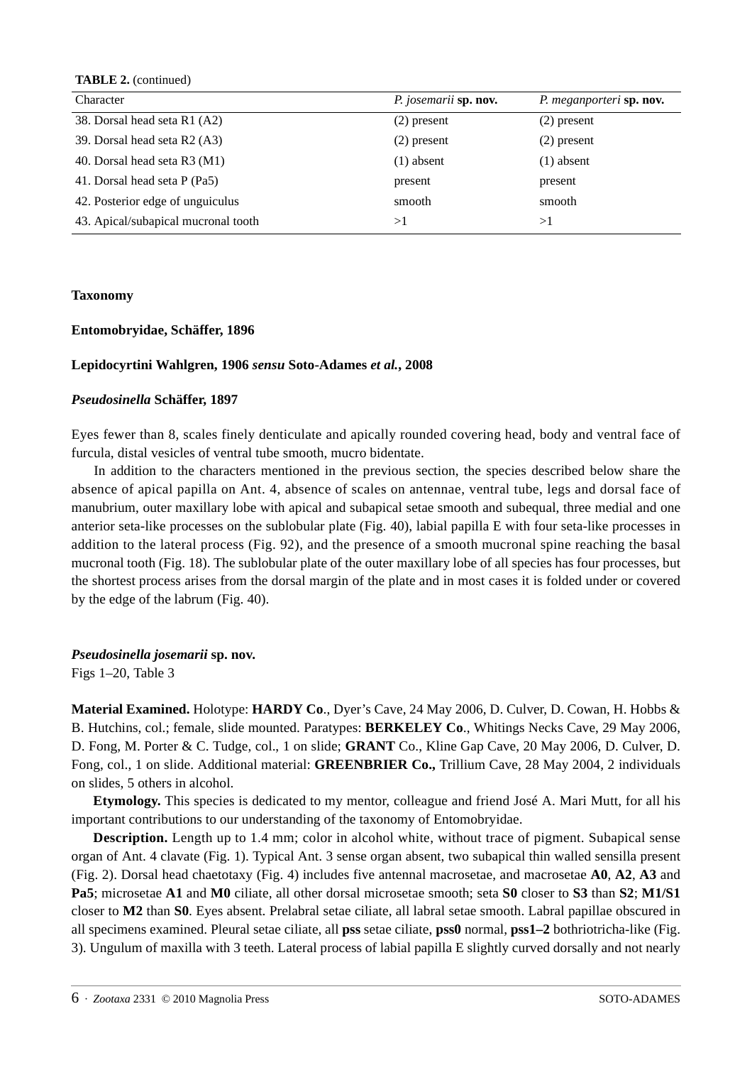**TABLE 2.** (continued)

| Character                           | P. josemarii sp. nov. | P. meganporteri sp. nov. |
|-------------------------------------|-----------------------|--------------------------|
| 38. Dorsal head seta R1 (A2)        | $(2)$ present         | $(2)$ present            |
| 39. Dorsal head seta R2 (A3)        | $(2)$ present         | $(2)$ present            |
| 40. Dorsal head seta R3 (M1)        | $(1)$ absent          | $(1)$ absent             |
| 41. Dorsal head seta P (Pa5)        | present               | present                  |
| 42. Posterior edge of unguiculus    | smooth                | smooth                   |
| 43. Apical/subapical mucronal tooth | >1                    | >1                       |

### **Taxonomy**

# **Entomobryidae, Schäffer, 1896**

# **Lepidocyrtini Wahlgren, 1906** *sensu* **Soto-Adames** *et al.***, 2008**

### *Pseudosinella* **Schäffer, 1897**

Eyes fewer than 8, scales finely denticulate and apically rounded covering head, body and ventral face of furcula, distal vesicles of ventral tube smooth, mucro bidentate.

In addition to the characters mentioned in the previous section, the species described below share the absence of apical papilla on Ant. 4, absence of scales on antennae, ventral tube, legs and dorsal face of manubrium, outer maxillary lobe with apical and subapical setae smooth and subequal, three medial and one anterior seta-like processes on the sublobular plate (Fig. 40), labial papilla E with four seta-like processes in addition to the lateral process (Fig. 92), and the presence of a smooth mucronal spine reaching the basal mucronal tooth (Fig. 18). The sublobular plate of the outer maxillary lobe of all species has four processes, but the shortest process arises from the dorsal margin of the plate and in most cases it is folded under or covered by the edge of the labrum (Fig. 40).

### *Pseudosinella josemarii* **sp. nov.**

Figs 1–20, Table 3

**Material Examined.** Holotype: **HARDY Co**., Dyer's Cave, 24 May 2006, D. Culver, D. Cowan, H. Hobbs & B. Hutchins, col.; female, slide mounted. Paratypes: **BERKELEY Co**., Whitings Necks Cave, 29 May 2006, D. Fong, M. Porter & C. Tudge, col., 1 on slide; **GRANT** Co., Kline Gap Cave, 20 May 2006, D. Culver, D. Fong, col., 1 on slide. Additional material: **GREENBRIER Co.,** Trillium Cave, 28 May 2004, 2 individuals on slides, 5 others in alcohol.

**Etymology.** This species is dedicated to my mentor, colleague and friend José A. Mari Mutt, for all his important contributions to our understanding of the taxonomy of Entomobryidae.

**Description.** Length up to 1.4 mm; color in alcohol white, without trace of pigment. Subapical sense organ of Ant. 4 clavate (Fig. 1). Typical Ant. 3 sense organ absent, two subapical thin walled sensilla present (Fig. 2). Dorsal head chaetotaxy (Fig. 4) includes five antennal macrosetae, and macrosetae **A0**, **A2**, **A3** and **Pa5**; microsetae **A1** and **M0** ciliate, all other dorsal microsetae smooth; seta **S0** closer to **S3** than **S2**; **M1/S1** closer to **M2** than **S0**. Eyes absent. Prelabral setae ciliate, all labral setae smooth. Labral papillae obscured in all specimens examined. Pleural setae ciliate, all **pss** setae ciliate, **pss0** normal, **pss1–2** bothriotricha-like (Fig. 3). Ungulum of maxilla with 3 teeth. Lateral process of labial papilla E slightly curved dorsally and not nearly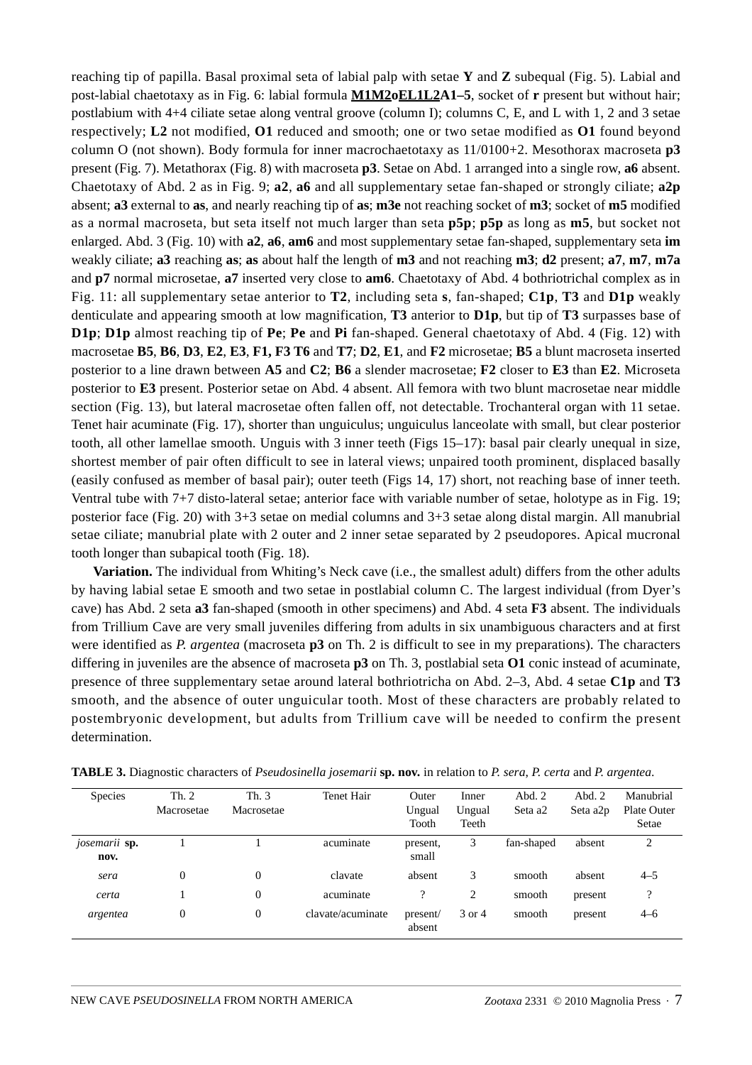reaching tip of papilla. Basal proximal seta of labial palp with setae **Y** and **Z** subequal (Fig. 5). Labial and post-labial chaetotaxy as in Fig. 6: labial formula **M1M2oEL1L2A1–5**, socket of **r** present but without hair; postlabium with 4+4 ciliate setae along ventral groove (column I); columns C, E, and L with 1, 2 and 3 setae respectively; **L2** not modified, **O1** reduced and smooth; one or two setae modified as **O1** found beyond column O (not shown). Body formula for inner macrochaetotaxy as 11/0100+2. Mesothorax macroseta **p3** present (Fig. 7). Metathorax (Fig. 8) with macroseta **p3**. Setae on Abd. 1 arranged into a single row, **a6** absent. Chaetotaxy of Abd. 2 as in Fig. 9; **a2**, **a6** and all supplementary setae fan-shaped or strongly ciliate; **a2p** absent; **a3** external to **as**, and nearly reaching tip of **as**; **m3e** not reaching socket of **m3**; socket of **m5** modified as a normal macroseta, but seta itself not much larger than seta **p5p**; **p5p** as long as **m5**, but socket not enlarged. Abd. 3 (Fig. 10) with **a2**, **a6**, **am6** and most supplementary setae fan-shaped, supplementary seta **im** weakly ciliate; **a3** reaching **as**; **as** about half the length of **m3** and not reaching **m3**; **d2** present; **a7**, **m7**, **m7a** and **p7** normal microsetae, **a7** inserted very close to **am6**. Chaetotaxy of Abd. 4 bothriotrichal complex as in Fig. 11: all supplementary setae anterior to **T2**, including seta **s**, fan-shaped; **C1p**, **T3** and **D1p** weakly denticulate and appearing smooth at low magnification, **T3** anterior to **D1p**, but tip of **T3** surpasses base of **D1p**; **D1p** almost reaching tip of **Pe**; **Pe** and **Pi** fan-shaped. General chaetotaxy of Abd. 4 (Fig. 12) with macrosetae **B5**, **B6**, **D3**, **E2**, **E3**, **F1, F3 T6** and **T7**; **D2**, **E1**, and **F2** microsetae; **B5** a blunt macroseta inserted posterior to a line drawn between **A5** and **C2**; **B6** a slender macrosetae; **F2** closer to **E3** than **E2**. Microseta posterior to **E3** present. Posterior setae on Abd. 4 absent. All femora with two blunt macrosetae near middle section (Fig. 13), but lateral macrosetae often fallen off, not detectable. Trochanteral organ with 11 setae. Tenet hair acuminate (Fig. 17), shorter than unguiculus; unguiculus lanceolate with small, but clear posterior tooth, all other lamellae smooth. Unguis with 3 inner teeth (Figs 15–17): basal pair clearly unequal in size, shortest member of pair often difficult to see in lateral views; unpaired tooth prominent, displaced basally (easily confused as member of basal pair); outer teeth (Figs 14, 17) short, not reaching base of inner teeth. Ventral tube with 7+7 disto-lateral setae; anterior face with variable number of setae, holotype as in Fig. 19; posterior face (Fig. 20) with 3+3 setae on medial columns and 3+3 setae along distal margin. All manubrial setae ciliate; manubrial plate with 2 outer and 2 inner setae separated by 2 pseudopores. Apical mucronal tooth longer than subapical tooth (Fig. 18).

**Variation.** The individual from Whiting's Neck cave (i.e., the smallest adult) differs from the other adults by having labial setae E smooth and two setae in postlabial column C. The largest individual (from Dyer's cave) has Abd. 2 seta **a3** fan-shaped (smooth in other specimens) and Abd. 4 seta **F3** absent. The individuals from Trillium Cave are very small juveniles differing from adults in six unambiguous characters and at first were identified as *P. argentea* (macroseta **p3** on Th. 2 is difficult to see in my preparations). The characters differing in juveniles are the absence of macroseta **p3** on Th. 3, postlabial seta **O1** conic instead of acuminate, presence of three supplementary setae around lateral bothriotricha on Abd. 2–3, Abd. 4 setae **C1p** and **T3** smooth, and the absence of outer unguicular tooth. Most of these characters are probably related to postembryonic development, but adults from Trillium cave will be needed to confirm the present determination.

| <b>Species</b>        | Th. 2<br>Macrosetae | Th. $3$<br>Macrosetae | Tenet Hair        | Outer<br>Ungual<br>Tooth | Inner<br>Ungual<br>Teeth | Abd. $2$<br>Seta a <sub>2</sub> | Abd.2<br>Seta a2p | Manubrial<br>Plate Outer<br>Setae |
|-----------------------|---------------------|-----------------------|-------------------|--------------------------|--------------------------|---------------------------------|-------------------|-----------------------------------|
| josemarii sp.<br>nov. |                     |                       | acuminate         | present,<br>small        | 3                        | fan-shaped                      | absent            | 2                                 |
| sera                  | $\overline{0}$      | $\mathbf{0}$          | clavate           | absent                   | 3                        | smooth                          | absent            | $4 - 5$                           |
| certa                 |                     | $\mathbf{0}$          | acuminate         | ?                        | 2                        | smooth                          | present           | ?                                 |
| argentea              | $\overline{0}$      | $\mathbf{0}$          | clavate/acuminate | present/<br>absent       | 3 or 4                   | smooth                          | present           | $4 - 6$                           |

**TABLE 3.** Diagnostic characters of *Pseudosinella josemarii* **sp. nov.** in relation to *P. sera*, *P. certa* and *P. argentea*.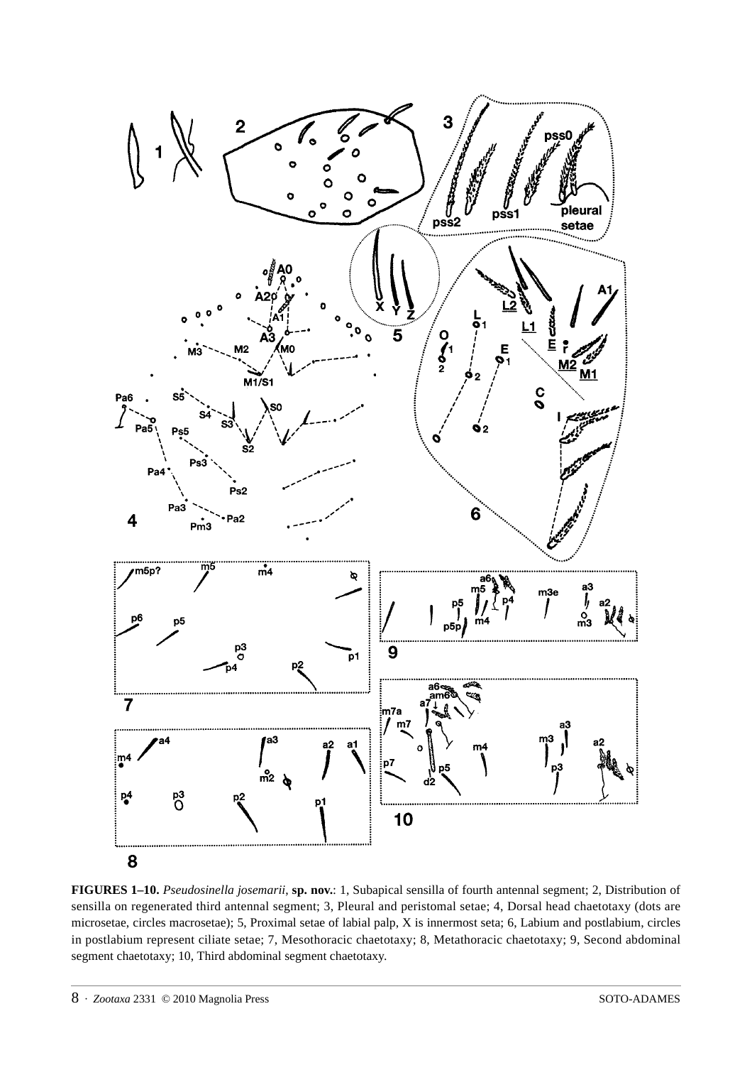

**FIGURES 1–10.** *Pseudosinella josemarii*, **sp. nov.**: 1, Subapical sensilla of fourth antennal segment; 2, Distribution of sensilla on regenerated third antennal segment; 3, Pleural and peristomal setae; 4, Dorsal head chaetotaxy (dots are microsetae, circles macrosetae); 5, Proximal setae of labial palp, X is innermost seta; 6, Labium and postlabium, circles in postlabium represent ciliate setae; 7, Mesothoracic chaetotaxy; 8, Metathoracic chaetotaxy; 9, Second abdominal segment chaetotaxy; 10, Third abdominal segment chaetotaxy.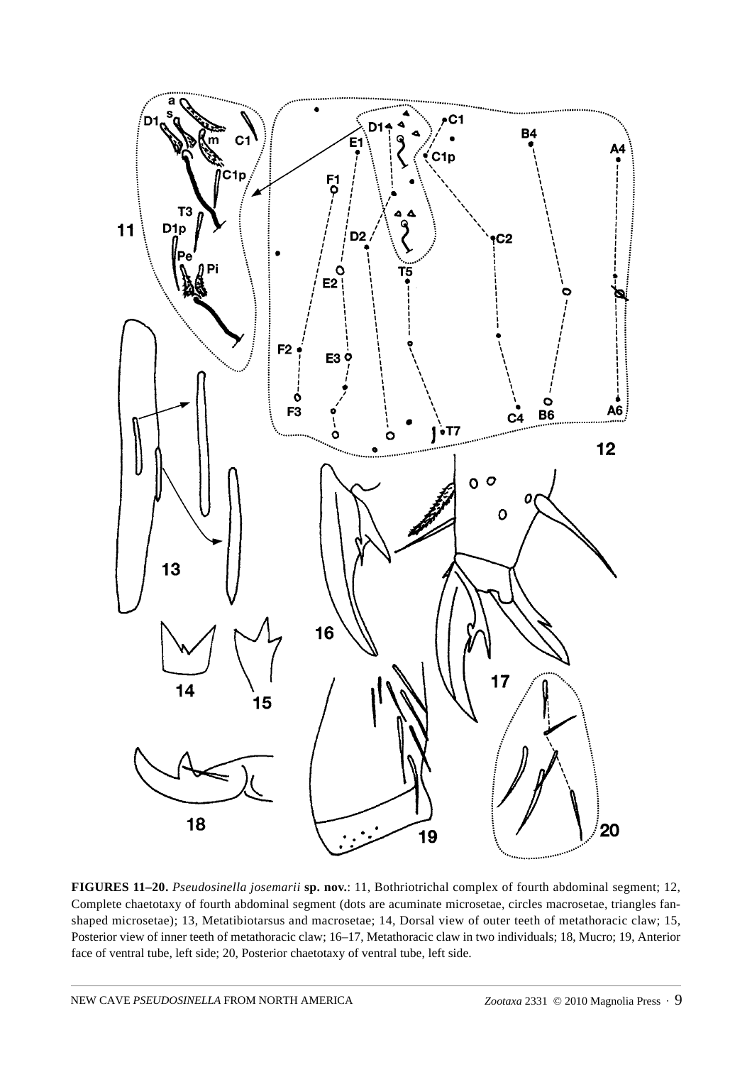

**FIGURES 11–20.** *Pseudosinella josemarii* **sp. nov.**: 11, Bothriotrichal complex of fourth abdominal segment; 12, Complete chaetotaxy of fourth abdominal segment (dots are acuminate microsetae, circles macrosetae, triangles fanshaped microsetae); 13, Metatibiotarsus and macrosetae; 14, Dorsal view of outer teeth of metathoracic claw; 15, Posterior view of inner teeth of metathoracic claw; 16–17, Metathoracic claw in two individuals; 18, Mucro; 19, Anterior face of ventral tube, left side; 20, Posterior chaetotaxy of ventral tube, left side.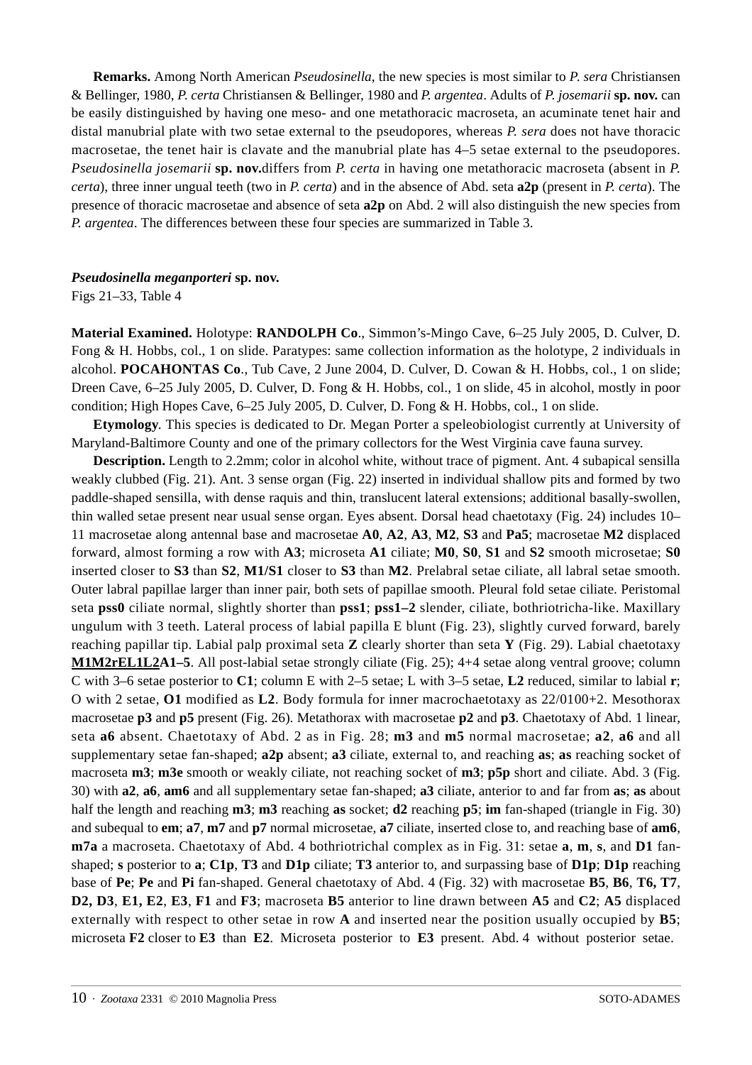**Remarks.** Among North American *Pseudosinella*, the new species is most similar to *P*. *sera* Christiansen & Bellinger, 1980, *P*. *certa* Christiansen & Bellinger, 1980 and *P. argentea*. Adults of *P*. *josemarii* **sp. nov.** can be easily distinguished by having one meso- and one metathoracic macroseta, an acuminate tenet hair and distal manubrial plate with two setae external to the pseudopores, whereas *P. sera* does not have thoracic macrosetae, the tenet hair is clavate and the manubrial plate has 4–5 setae external to the pseudopores. *Pseudosinella josemarii* **sp. nov.**differs from *P. certa* in having one metathoracic macroseta (absent in *P. certa*), three inner ungual teeth (two in *P. certa*) and in the absence of Abd. seta **a2p** (present in *P. certa*). The presence of thoracic macrosetae and absence of seta **a2p** on Abd. 2 will also distinguish the new species from *P. argentea*. The differences between these four species are summarized in Table 3.

# *Pseudosinella meganporteri* **sp. nov.**

Figs 21–33, Table 4

**Material Examined.** Holotype: **RANDOLPH Co**., Simmon's-Mingo Cave, 6–25 July 2005, D. Culver, D. Fong & H. Hobbs, col., 1 on slide. Paratypes: same collection information as the holotype, 2 individuals in alcohol. **POCAHONTAS Co**., Tub Cave, 2 June 2004, D. Culver, D. Cowan & H. Hobbs, col., 1 on slide; Dreen Cave, 6–25 July 2005, D. Culver, D. Fong & H. Hobbs, col., 1 on slide, 45 in alcohol, mostly in poor condition; High Hopes Cave, 6–25 July 2005, D. Culver, D. Fong & H. Hobbs, col., 1 on slide.

**Etymology**. This species is dedicated to Dr. Megan Porter a speleobiologist currently at University of Maryland-Baltimore County and one of the primary collectors for the West Virginia cave fauna survey.

**Description.** Length to 2.2mm; color in alcohol white, without trace of pigment. Ant. 4 subapical sensilla weakly clubbed (Fig. 21). Ant. 3 sense organ (Fig. 22) inserted in individual shallow pits and formed by two paddle-shaped sensilla, with dense raquis and thin, translucent lateral extensions; additional basally-swollen, thin walled setae present near usual sense organ. Eyes absent. Dorsal head chaetotaxy (Fig. 24) includes 10– 11 macrosetae along antennal base and macrosetae **A0**, **A2**, **A3**, **M2**, **S3** and **Pa5**; macrosetae **M2** displaced forward, almost forming a row with **A3**; microseta **A1** ciliate; **M0**, **S0**, **S1** and **S2** smooth microsetae; **S0** inserted closer to **S3** than **S2**, **M1/S1** closer to **S3** than **M2**. Prelabral setae ciliate, all labral setae smooth. Outer labral papillae larger than inner pair, both sets of papillae smooth. Pleural fold setae ciliate. Peristomal seta **pss0** ciliate normal, slightly shorter than **pss1**; **pss1–2** slender, ciliate, bothriotricha-like. Maxillary ungulum with 3 teeth. Lateral process of labial papilla E blunt (Fig. 23), slightly curved forward, barely reaching papillar tip. Labial palp proximal seta **Z** clearly shorter than seta **Y** (Fig. 29). Labial chaetotaxy **M1M2rEL1L2A1–5**. All post-labial setae strongly ciliate (Fig. 25); 4+4 setae along ventral groove; column C with 3–6 setae posterior to **C1**; column E with 2–5 setae; L with 3–5 setae, **L2** reduced, similar to labial **r**; O with 2 setae, **O1** modified as **L2**. Body formula for inner macrochaetotaxy as 22/0100+2. Mesothorax macrosetae **p3** and **p5** present (Fig. 26). Metathorax with macrosetae **p2** and **p3**. Chaetotaxy of Abd. 1 linear, seta **a6** absent. Chaetotaxy of Abd. 2 as in Fig. 28; **m3** and **m5** normal macrosetae; **a2**, **a6** and all supplementary setae fan-shaped; **a2p** absent; **a3** ciliate, external to, and reaching **as**; **as** reaching socket of macroseta **m3**; **m3e** smooth or weakly ciliate, not reaching socket of **m3**; **p5p** short and ciliate. Abd. 3 (Fig. 30) with **a2**, **a6**, **am6** and all supplementary setae fan-shaped; **a3** ciliate, anterior to and far from **as**; **as** about half the length and reaching **m3**; **m3** reaching **as** socket; **d2** reaching **p5**; **im** fan-shaped (triangle in Fig. 30) and subequal to **em**; **a7**, **m7** and **p7** normal microsetae, **a7** ciliate, inserted close to, and reaching base of **am6**, **m7a** a macroseta. Chaetotaxy of Abd. 4 bothriotrichal complex as in Fig. 31: setae **a**, **m**, **s**, and **D1** fanshaped; **s** posterior to **a**; **C1p**, **T3** and **D1p** ciliate; **T3** anterior to, and surpassing base of **D1p**; **D1p** reaching base of **Pe**; **Pe** and **Pi** fan-shaped. General chaetotaxy of Abd. 4 (Fig. 32) with macrosetae **B5**, **B6**, **T6, T7**, **D2, D3**, **E1, E2**, **E3**, **F1** and **F3**; macroseta **B5** anterior to line drawn between **A5** and **C2**; **A5** displaced externally with respect to other setae in row **A** and inserted near the position usually occupied by **B5**; microseta **F2** closer to **E3** than **E2**. Microseta posterior to **E3** present. Abd. 4 without posterior setae.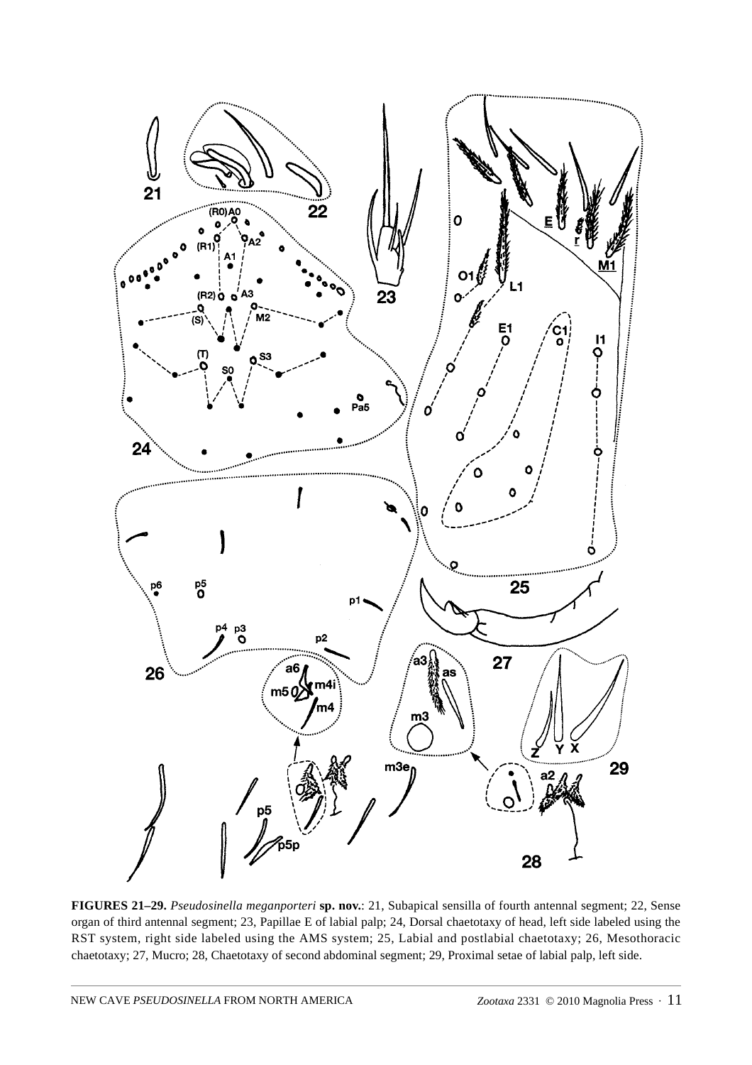

**FIGURES 21–29.** *Pseudosinella meganporteri* **sp. nov.**: 21, Subapical sensilla of fourth antennal segment; 22, Sense organ of third antennal segment; 23, Papillae E of labial palp; 24, Dorsal chaetotaxy of head, left side labeled using the RST system, right side labeled using the AMS system; 25, Labial and postlabial chaetotaxy; 26, Mesothoracic chaetotaxy; 27, Mucro; 28, Chaetotaxy of second abdominal segment; 29, Proximal setae of labial palp, left side.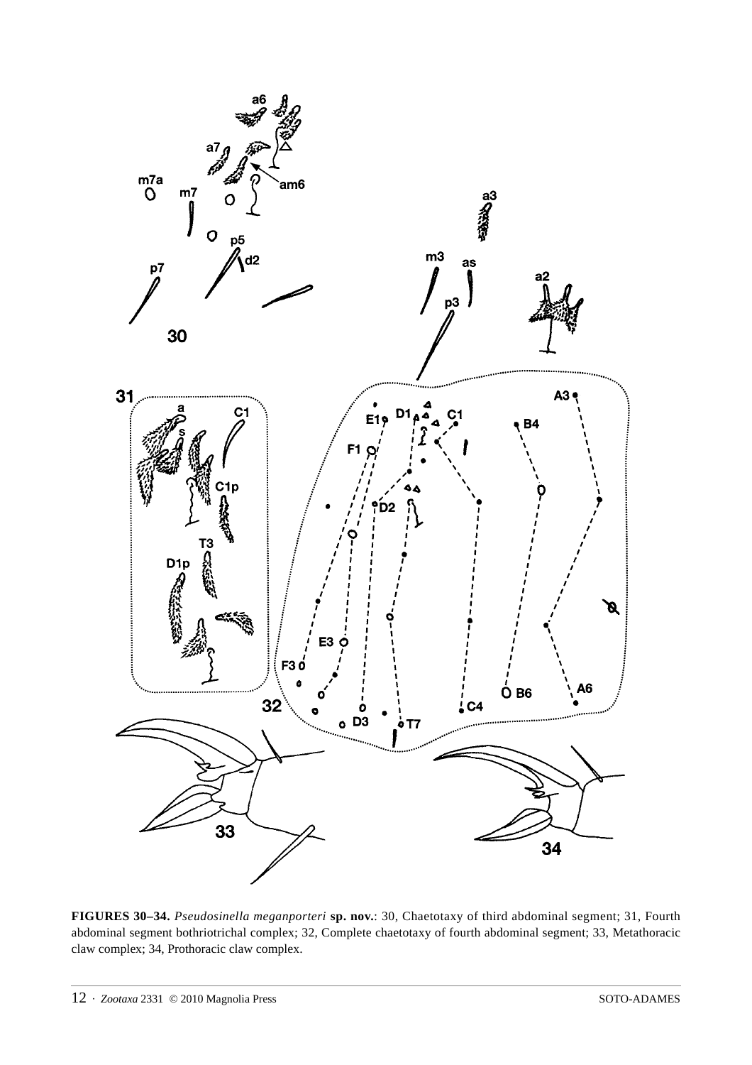

**FIGURES 30–34.** *Pseudosinella meganporteri* **sp. nov.**: 30, Chaetotaxy of third abdominal segment; 31, Fourth abdominal segment bothriotrichal complex; 32, Complete chaetotaxy of fourth abdominal segment; 33, Metathoracic claw complex; 34, Prothoracic claw complex.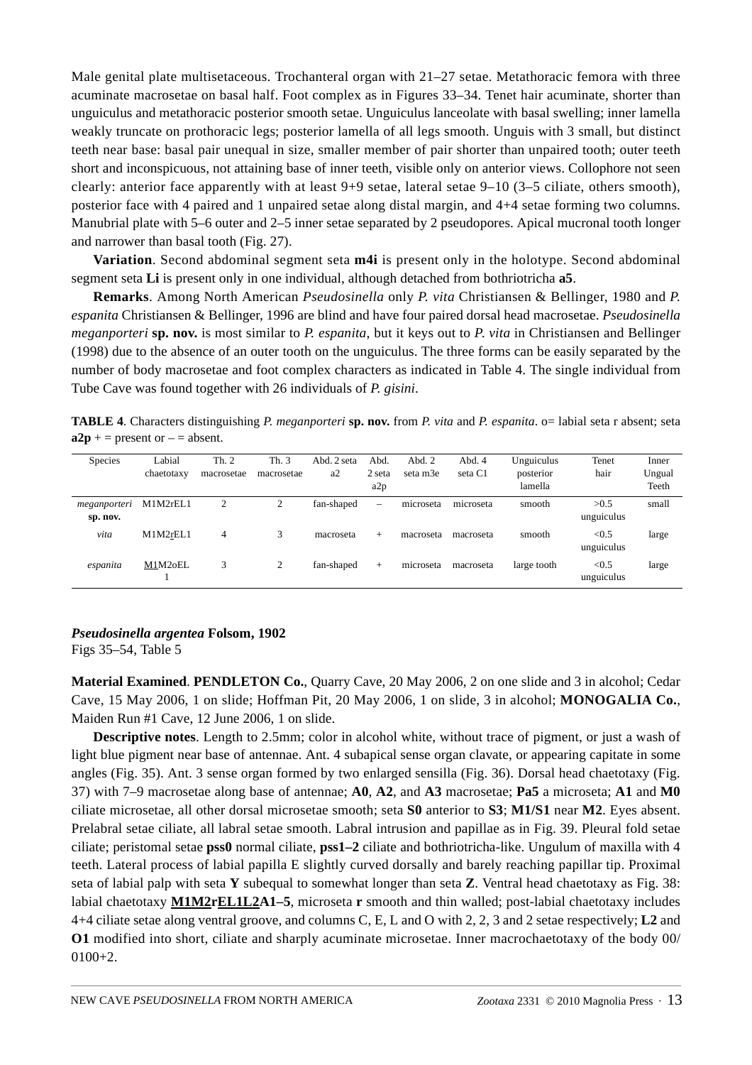Male genital plate multisetaceous. Trochanteral organ with 21–27 setae. Metathoracic femora with three acuminate macrosetae on basal half. Foot complex as in Figures 33–34. Tenet hair acuminate, shorter than unguiculus and metathoracic posterior smooth setae. Unguiculus lanceolate with basal swelling; inner lamella weakly truncate on prothoracic legs; posterior lamella of all legs smooth. Unguis with 3 small, but distinct teeth near base: basal pair unequal in size, smaller member of pair shorter than unpaired tooth; outer teeth short and inconspicuous, not attaining base of inner teeth, visible only on anterior views. Collophore not seen clearly: anterior face apparently with at least 9+9 setae, lateral setae 9–10 (3–5 ciliate, others smooth), posterior face with 4 paired and 1 unpaired setae along distal margin, and 4+4 setae forming two columns. Manubrial plate with 5–6 outer and 2–5 inner setae separated by 2 pseudopores. Apical mucronal tooth longer and narrower than basal tooth (Fig. 27).

**Variation**. Second abdominal segment seta **m4i** is present only in the holotype. Second abdominal segment seta **Li** is present only in one individual, although detached from bothriotricha **a5**.

**Remarks**. Among North American *Pseudosinella* only *P. vita* Christiansen & Bellinger, 1980 and *P. espanita* Christiansen & Bellinger, 1996 are blind and have four paired dorsal head macrosetae. *Pseudosinella meganporteri* **sp. nov.** is most similar to *P. espanita*, but it keys out to *P*. *vita* in Christiansen and Bellinger (1998) due to the absence of an outer tooth on the unguiculus. The three forms can be easily separated by the number of body macrosetae and foot complex characters as indicated in Table 4. The single individual from Tube Cave was found together with 26 individuals of *P. gisini*.

**TABLE 4**. Characters distinguishing *P. meganporteri* **sp. nov.** from *P. vita* and *P. espanita*. o= labial seta r absent; seta  $a2p$  + = present or  $-$  = absent.

| <b>Species</b>           | Labial<br>chaetotaxy | Th. 2<br>macrosetae | Th.3<br>macrosetae | Abd. 2 seta<br>a2 | Abd.<br>2 seta<br>a2p | Abd. 2<br>seta m <sub>3e</sub> | Abd. 4<br>seta C1 | Unguiculus<br>posterior<br>lamella | Tenet<br>hair       | Inner<br>Ungual<br>Teeth |
|--------------------------|----------------------|---------------------|--------------------|-------------------|-----------------------|--------------------------------|-------------------|------------------------------------|---------------------|--------------------------|
| meganporteri<br>sp. nov. | M1M2rEL1             | 2                   | 2                  | fan-shaped        |                       | microseta                      | microseta         | smooth                             | >0.5<br>unguiculus  | small                    |
| vita                     | M1M2rEL1             | 4                   | 3                  | macroseta         | $+$                   | macroseta                      | macroseta         | smooth                             | < 0.5<br>unguiculus | large                    |
| espanita                 | M1M2oEL              | 3                   |                    | fan-shaped        | $+$                   | microseta                      | macroseta         | large tooth                        | < 0.5<br>unguiculus | large                    |

# *Pseudosinella argentea* **Folsom, 1902**

Figs 35–54, Table 5

**Material Examined**. **PENDLETON Co.**, Quarry Cave, 20 May 2006, 2 on one slide and 3 in alcohol; Cedar Cave, 15 May 2006, 1 on slide; Hoffman Pit, 20 May 2006, 1 on slide, 3 in alcohol; **MONOGALIA Co.**, Maiden Run #1 Cave, 12 June 2006, 1 on slide.

**Descriptive notes**. Length to 2.5mm; color in alcohol white, without trace of pigment, or just a wash of light blue pigment near base of antennae. Ant. 4 subapical sense organ clavate, or appearing capitate in some angles (Fig. 35). Ant. 3 sense organ formed by two enlarged sensilla (Fig. 36). Dorsal head chaetotaxy (Fig. 37) with 7–9 macrosetae along base of antennae; **A0**, **A2**, and **A3** macrosetae; **Pa5** a microseta; **A1** and **M0** ciliate microsetae, all other dorsal microsetae smooth; seta **S0** anterior to **S3**; **M1/S1** near **M2**. Eyes absent. Prelabral setae ciliate, all labral setae smooth. Labral intrusion and papillae as in Fig. 39. Pleural fold setae ciliate; peristomal setae **pss0** normal ciliate, **pss1–2** ciliate and bothriotricha-like. Ungulum of maxilla with 4 teeth. Lateral process of labial papilla E slightly curved dorsally and barely reaching papillar tip. Proximal seta of labial palp with seta **Y** subequal to somewhat longer than seta **Z**. Ventral head chaetotaxy as Fig. 38: labial chaetotaxy **M1M2rEL1L2A1–5**, microseta **r** smooth and thin walled; post-labial chaetotaxy includes 4+4 ciliate setae along ventral groove, and columns C, E, L and O with 2, 2, 3 and 2 setae respectively; **L2** and **O1** modified into short, ciliate and sharply acuminate microsetae. Inner macrochaetotaxy of the body 00/ 0100+2.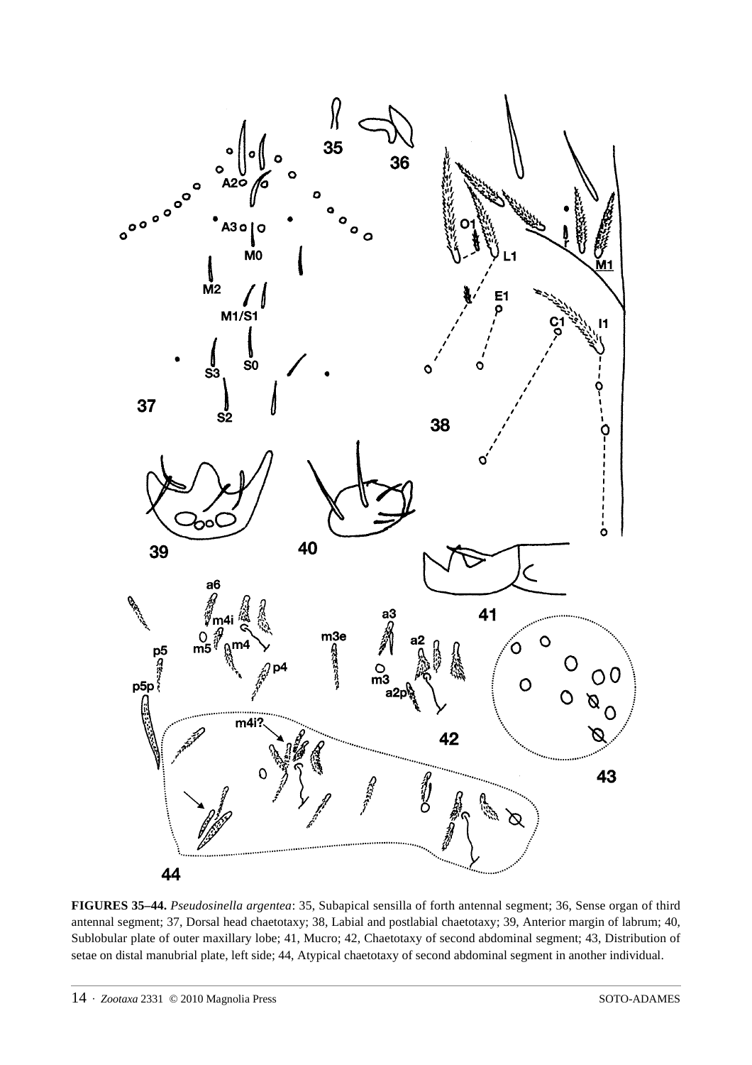

**FIGURES 35–44.** *Pseudosinella argentea*: 35, Subapical sensilla of forth antennal segment; 36, Sense organ of third antennal segment; 37, Dorsal head chaetotaxy; 38, Labial and postlabial chaetotaxy; 39, Anterior margin of labrum; 40, Sublobular plate of outer maxillary lobe; 41, Mucro; 42, Chaetotaxy of second abdominal segment; 43, Distribution of setae on distal manubrial plate, left side; 44, Atypical chaetotaxy of second abdominal segment in another individual.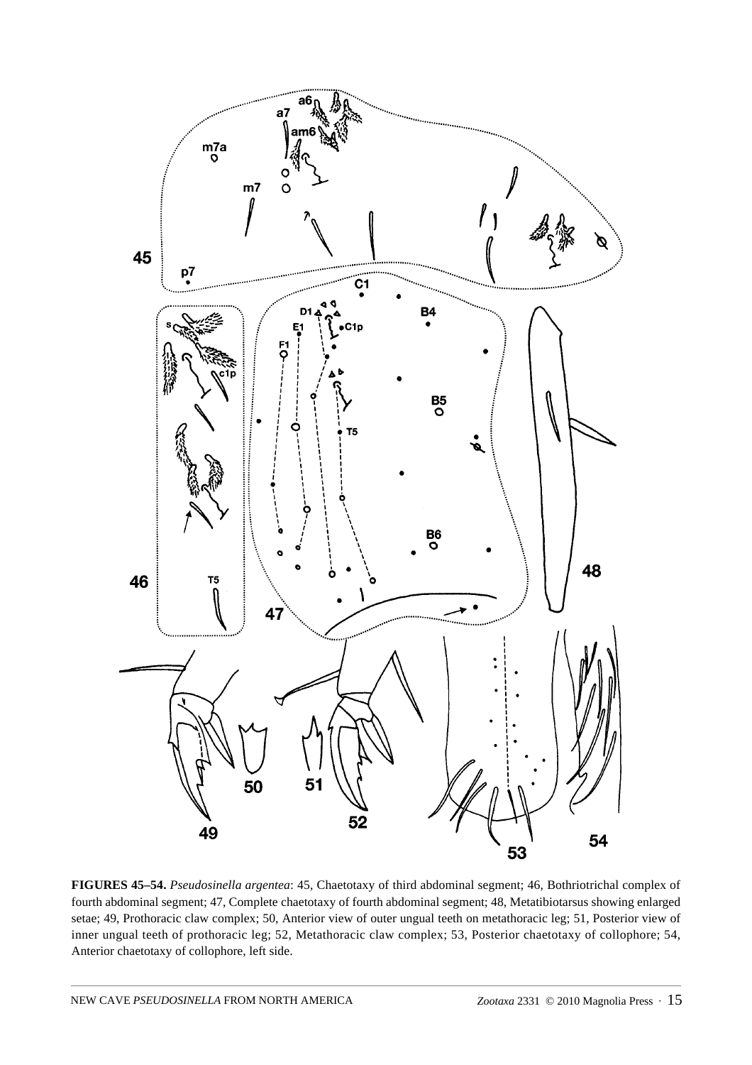

**FIGURES 45–54.** *Pseudosinella argentea*: 45, Chaetotaxy of third abdominal segment; 46, Bothriotrichal complex of fourth abdominal segment; 47, Complete chaetotaxy of fourth abdominal segment; 48, Metatibiotarsus showing enlarged setae; 49, Prothoracic claw complex; 50, Anterior view of outer ungual teeth on metathoracic leg; 51, Posterior view of inner ungual teeth of prothoracic leg; 52, Metathoracic claw complex; 53, Posterior chaetotaxy of collophore; 54, Anterior chaetotaxy of collophore, left side.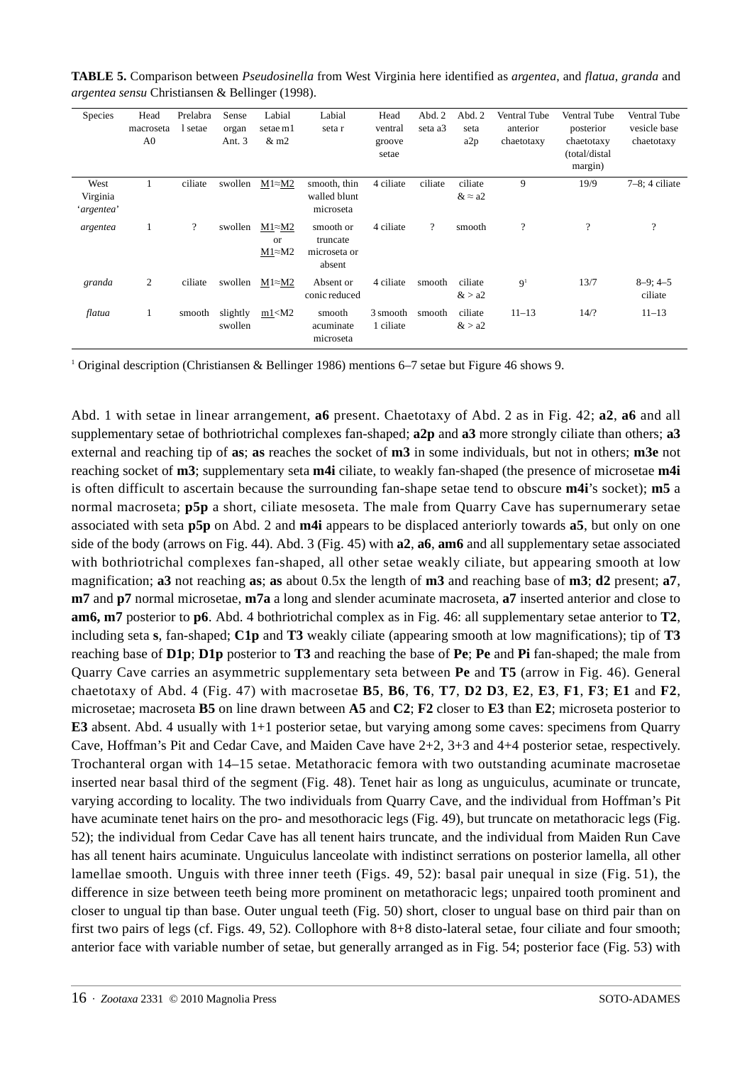| Species                        | Head<br>macroseta<br>A <sub>0</sub> | Prelabra<br>l setae | Sense<br>organ<br>Ant. 3 | Labial<br>setae m1<br>$&$ m2                    | Labial<br>seta r                                | Head<br>ventral<br>groove<br>setae | Abd. 2<br>seta a3        | Abd. 2<br>seta<br>a2p     | <b>Ventral Tube</b><br>anterior<br>chaetotaxy | Ventral Tube<br>posterior<br>chaetotaxy<br>(total/distal<br>margin) | Ventral Tube<br>vesicle base<br>chaetotaxy |
|--------------------------------|-------------------------------------|---------------------|--------------------------|-------------------------------------------------|-------------------------------------------------|------------------------------------|--------------------------|---------------------------|-----------------------------------------------|---------------------------------------------------------------------|--------------------------------------------|
| West<br>Virginia<br>'argentea' | $\mathbf{1}$                        | ciliate             | swollen                  | $M1 \approx M2$                                 | smooth, thin<br>walled blunt<br>microseta       | 4 ciliate                          | ciliate                  | ciliate<br>$& \approx a2$ | 9                                             | 19/9                                                                | $7-8$ ; 4 ciliate                          |
| argentea                       | $\mathbf{1}$                        | ?                   | swollen                  | $M1 \approx M2$<br><b>or</b><br>$M1 \approx M2$ | smooth or<br>truncate<br>microseta or<br>absent | 4 ciliate                          | $\overline{\mathcal{L}}$ | smooth                    | $\overline{\cdot}$                            | ?                                                                   | ?                                          |
| granda                         | 2                                   | ciliate             | swollen                  | $M1 \approx M2$                                 | Absent or<br>conic reduced                      | 4 ciliate                          | smooth                   | ciliate<br>&>a2           | 9 <sup>1</sup>                                | 13/7                                                                | $8-9$ ; 4-5<br>ciliate                     |
| flatua                         | 1                                   | smooth              | slightly<br>swollen      | $m1<$ M2                                        | smooth<br>acuminate<br>microseta                | 3 smooth<br>1 ciliate              | smooth                   | ciliate<br>&> a2          | $11 - 13$                                     | 14/2                                                                | $11 - 13$                                  |

**TABLE 5.** Comparison between *Pseudosinella* from West Virginia here identified as *argentea*, and *flatua*, *granda* and *argentea sensu* Christiansen & Bellinger (1998).

<sup>1</sup> Original description (Christiansen & Bellinger 1986) mentions 6–7 setae but Figure 46 shows 9.

Abd. 1 with setae in linear arrangement, **a6** present. Chaetotaxy of Abd. 2 as in Fig. 42; **a2**, **a6** and all supplementary setae of bothriotrichal complexes fan-shaped; **a2p** and **a3** more strongly ciliate than others; **a3**  external and reaching tip of **as**; **as** reaches the socket of **m3** in some individuals, but not in others; **m3e** not reaching socket of **m3**; supplementary seta **m4i** ciliate, to weakly fan-shaped (the presence of microsetae **m4i** is often difficult to ascertain because the surrounding fan-shape setae tend to obscure **m4i**'s socket); **m5** a normal macroseta; **p5p** a short, ciliate mesoseta. The male from Quarry Cave has supernumerary setae associated with seta **p5p** on Abd. 2 and **m4i** appears to be displaced anteriorly towards **a5**, but only on one side of the body (arrows on Fig. 44). Abd. 3 (Fig. 45) with **a2**, **a6**, **am6** and all supplementary setae associated with bothriotrichal complexes fan-shaped, all other setae weakly ciliate, but appearing smooth at low magnification; **a3** not reaching **as**; **as** about 0.5x the length of **m3** and reaching base of **m3**; **d2** present; **a7**, **m7** and **p7** normal microsetae, **m7a** a long and slender acuminate macroseta, **a7** inserted anterior and close to **am6, m7** posterior to **p6**. Abd. 4 bothriotrichal complex as in Fig. 46: all supplementary setae anterior to **T2**, including seta **s**, fan-shaped; **C1p** and **T3** weakly ciliate (appearing smooth at low magnifications); tip of **T3** reaching base of **D1p**; **D1p** posterior to **T3** and reaching the base of **Pe**; **Pe** and **Pi** fan-shaped; the male from Quarry Cave carries an asymmetric supplementary seta between **Pe** and **T5** (arrow in Fig. 46). General chaetotaxy of Abd. 4 (Fig. 47) with macrosetae **B5**, **B6**, **T6**, **T7**, **D2 D3**, **E2**, **E3**, **F1**, **F3**; **E1** and **F2**, microsetae; macroseta **B5** on line drawn between **A5** and **C2**; **F2** closer to **E3** than **E2**; microseta posterior to **E3** absent. Abd. 4 usually with 1+1 posterior setae, but varying among some caves: specimens from Quarry Cave, Hoffman's Pit and Cedar Cave, and Maiden Cave have 2+2, 3+3 and 4+4 posterior setae, respectively. Trochanteral organ with 14–15 setae. Metathoracic femora with two outstanding acuminate macrosetae inserted near basal third of the segment (Fig. 48). Tenet hair as long as unguiculus, acuminate or truncate, varying according to locality. The two individuals from Quarry Cave, and the individual from Hoffman's Pit have acuminate tenet hairs on the pro- and mesothoracic legs (Fig. 49), but truncate on metathoracic legs (Fig. 52); the individual from Cedar Cave has all tenent hairs truncate, and the individual from Maiden Run Cave has all tenent hairs acuminate. Unguiculus lanceolate with indistinct serrations on posterior lamella, all other lamellae smooth. Unguis with three inner teeth (Figs. 49, 52): basal pair unequal in size (Fig. 51), the difference in size between teeth being more prominent on metathoracic legs; unpaired tooth prominent and closer to ungual tip than base. Outer ungual teeth (Fig. 50) short, closer to ungual base on third pair than on first two pairs of legs (cf. Figs. 49, 52). Collophore with 8+8 disto-lateral setae, four ciliate and four smooth; anterior face with variable number of setae, but generally arranged as in Fig. 54; posterior face (Fig. 53) with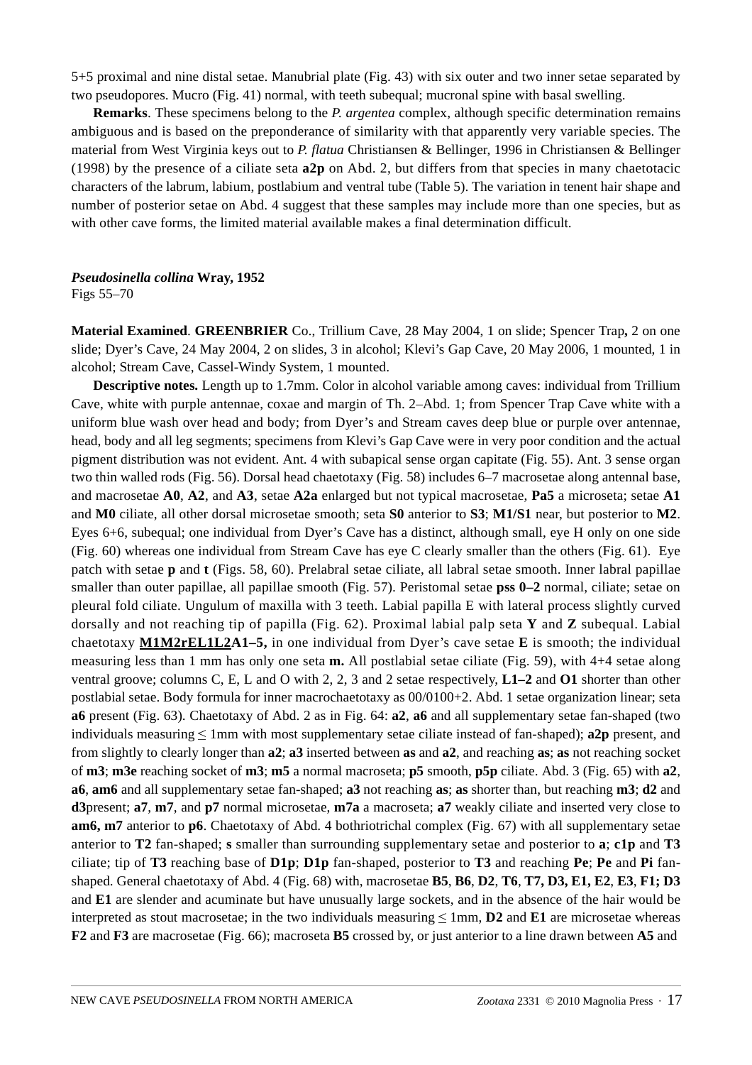5+5 proximal and nine distal setae. Manubrial plate (Fig. 43) with six outer and two inner setae separated by two pseudopores. Mucro (Fig. 41) normal, with teeth subequal; mucronal spine with basal swelling.

**Remarks**. These specimens belong to the *P. argentea* complex, although specific determination remains ambiguous and is based on the preponderance of similarity with that apparently very variable species. The material from West Virginia keys out to *P. flatua* Christiansen & Bellinger, 1996 in Christiansen & Bellinger (1998) by the presence of a ciliate seta **a2p** on Abd. 2, but differs from that species in many chaetotacic characters of the labrum, labium, postlabium and ventral tube (Table 5). The variation in tenent hair shape and number of posterior setae on Abd. 4 suggest that these samples may include more than one species, but as with other cave forms, the limited material available makes a final determination difficult.

### *Pseudosinella collina* **Wray, 1952**

Figs 55–70

**Material Examined**. **GREENBRIER** Co., Trillium Cave, 28 May 2004, 1 on slide; Spencer Trap**,** 2 on one slide; Dyer's Cave, 24 May 2004, 2 on slides, 3 in alcohol; Klevi's Gap Cave, 20 May 2006, 1 mounted, 1 in alcohol; Stream Cave, Cassel-Windy System, 1 mounted.

**Descriptive notes.** Length up to 1.7mm. Color in alcohol variable among caves: individual from Trillium Cave, white with purple antennae, coxae and margin of Th. 2–Abd. 1; from Spencer Trap Cave white with a uniform blue wash over head and body; from Dyer's and Stream caves deep blue or purple over antennae, head, body and all leg segments; specimens from Klevi's Gap Cave were in very poor condition and the actual pigment distribution was not evident. Ant. 4 with subapical sense organ capitate (Fig. 55). Ant. 3 sense organ two thin walled rods (Fig. 56). Dorsal head chaetotaxy (Fig. 58) includes 6–7 macrosetae along antennal base, and macrosetae **A0**, **A2**, and **A3**, setae **A2a** enlarged but not typical macrosetae, **Pa5** a microseta; setae **A1** and **M0** ciliate, all other dorsal microsetae smooth; seta **S0** anterior to **S3**; **M1/S1** near, but posterior to **M2**. Eyes 6+6, subequal; one individual from Dyer's Cave has a distinct, although small, eye H only on one side (Fig. 60) whereas one individual from Stream Cave has eye C clearly smaller than the others (Fig. 61). Eye patch with setae **p** and **t** (Figs. 58, 60). Prelabral setae ciliate, all labral setae smooth. Inner labral papillae smaller than outer papillae, all papillae smooth (Fig. 57). Peristomal setae **pss 0–2** normal, ciliate; setae on pleural fold ciliate. Ungulum of maxilla with 3 teeth. Labial papilla E with lateral process slightly curved dorsally and not reaching tip of papilla (Fig. 62). Proximal labial palp seta **Y** and **Z** subequal. Labial chaetotaxy **M1M2rEL1L2A1–5,** in one individual from Dyer's cave setae **E** is smooth; the individual measuring less than 1 mm has only one seta **m.** All postlabial setae ciliate (Fig. 59), with 4+4 setae along ventral groove; columns C, E, L and O with 2, 2, 3 and 2 setae respectively, **L1–2** and **O1** shorter than other postlabial setae. Body formula for inner macrochaetotaxy as 00/0100+2. Abd. 1 setae organization linear; seta **a6** present (Fig. 63). Chaetotaxy of Abd. 2 as in Fig. 64: **a2**, **a6** and all supplementary setae fan-shaped (two individuals measuring ≤ 1mm with most supplementary setae ciliate instead of fan-shaped); **a2p** present, and from slightly to clearly longer than **a2**; **a3** inserted between **as** and **a2**, and reaching **as**; **as** not reaching socket of **m3**; **m3e** reaching socket of **m3**; **m5** a normal macroseta; **p5** smooth, **p5p** ciliate. Abd. 3 (Fig. 65) with **a2**, **a6**, **am6** and all supplementary setae fan-shaped; **a3** not reaching **as**; **as** shorter than, but reaching **m3**; **d2** and **d3**present; **a7**, **m7**, and **p7** normal microsetae, **m7a** a macroseta; **a7** weakly ciliate and inserted very close to **am6, m7** anterior to **p6**. Chaetotaxy of Abd. 4 bothriotrichal complex (Fig. 67) with all supplementary setae anterior to **T2** fan-shaped; **s** smaller than surrounding supplementary setae and posterior to **a**; **c1p** and **T3** ciliate; tip of **T3** reaching base of **D1p**; **D1p** fan-shaped, posterior to **T3** and reaching **Pe**; **Pe** and **Pi** fanshaped. General chaetotaxy of Abd. 4 (Fig. 68) with, macrosetae **B5**, **B6**, **D2**, **T6**, **T7, D3, E1, E2**, **E3**, **F1; D3** and **E1** are slender and acuminate but have unusually large sockets, and in the absence of the hair would be interpreted as stout macrosetae; in the two individuals measuring  $\leq 1$ mm, **D2** and **E1** are microsetae whereas **F2** and **F3** are macrosetae (Fig. 66); macroseta **B5** crossed by, or just anterior to a line drawn between **A5** and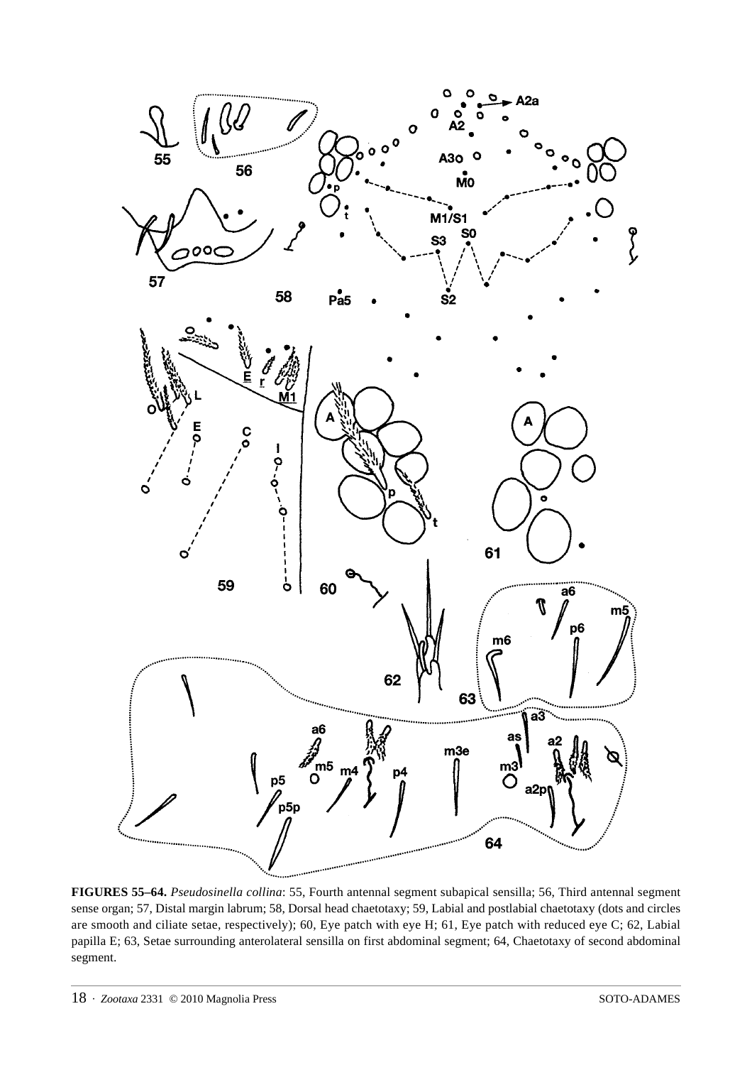

**FIGURES 55–64.** *Pseudosinella collina*: 55, Fourth antennal segment subapical sensilla; 56, Third antennal segment sense organ; 57, Distal margin labrum; 58, Dorsal head chaetotaxy; 59, Labial and postlabial chaetotaxy (dots and circles are smooth and ciliate setae, respectively); 60, Eye patch with eye H; 61, Eye patch with reduced eye C; 62, Labial papilla E; 63, Setae surrounding anterolateral sensilla on first abdominal segment; 64, Chaetotaxy of second abdominal segment.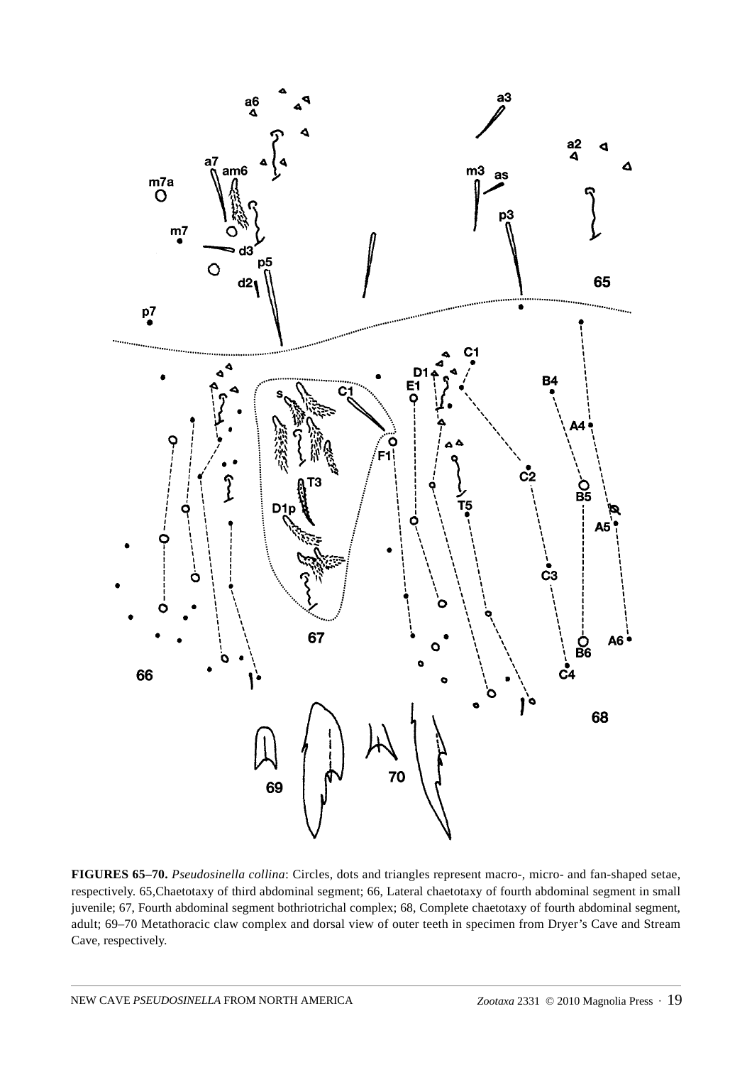

**FIGURES 65–70.** *Pseudosinella collina*: Circles, dots and triangles represent macro-, micro- and fan-shaped setae, respectively. 65,Chaetotaxy of third abdominal segment; 66, Lateral chaetotaxy of fourth abdominal segment in small juvenile; 67, Fourth abdominal segment bothriotrichal complex; 68, Complete chaetotaxy of fourth abdominal segment, adult; 69–70 Metathoracic claw complex and dorsal view of outer teeth in specimen from Dryer's Cave and Stream Cave, respectively.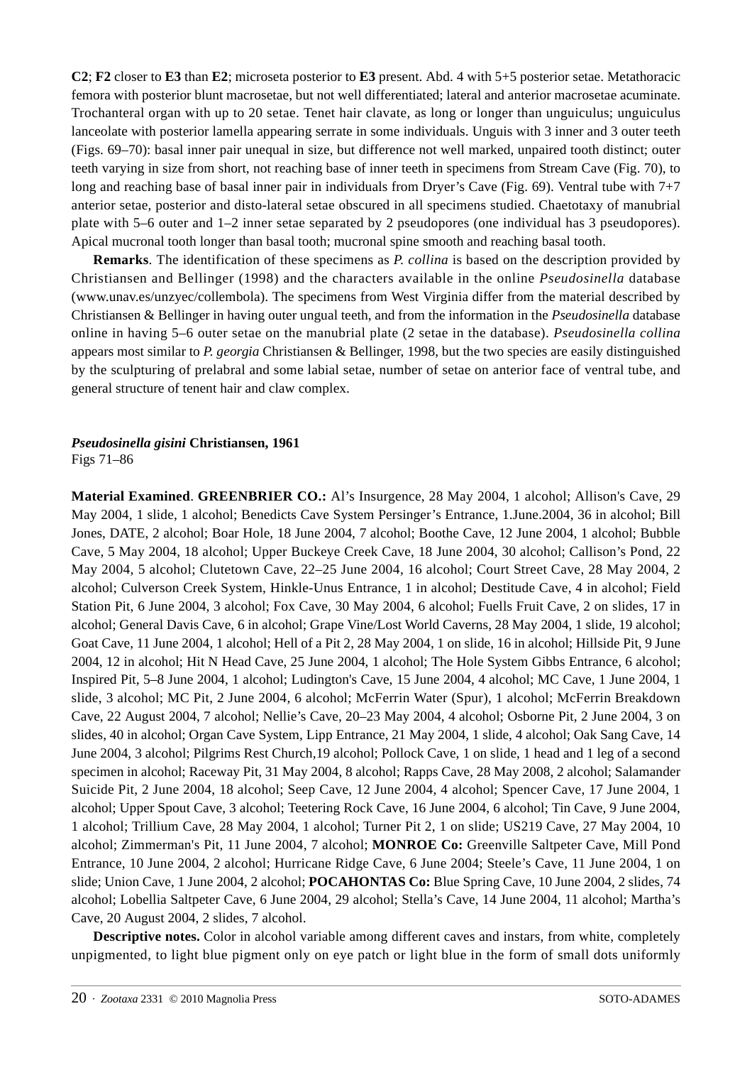**C2**; **F2** closer to **E3** than **E2**; microseta posterior to **E3** present. Abd. 4 with 5+5 posterior setae. Metathoracic femora with posterior blunt macrosetae, but not well differentiated; lateral and anterior macrosetae acuminate. Trochanteral organ with up to 20 setae. Tenet hair clavate, as long or longer than unguiculus; unguiculus lanceolate with posterior lamella appearing serrate in some individuals. Unguis with 3 inner and 3 outer teeth (Figs. 69–70): basal inner pair unequal in size, but difference not well marked, unpaired tooth distinct; outer teeth varying in size from short, not reaching base of inner teeth in specimens from Stream Cave (Fig. 70), to long and reaching base of basal inner pair in individuals from Dryer's Cave (Fig. 69). Ventral tube with 7+7 anterior setae, posterior and disto-lateral setae obscured in all specimens studied. Chaetotaxy of manubrial plate with 5–6 outer and 1–2 inner setae separated by 2 pseudopores (one individual has 3 pseudopores). Apical mucronal tooth longer than basal tooth; mucronal spine smooth and reaching basal tooth.

**Remarks**. The identification of these specimens as *P. collina* is based on the description provided by Christiansen and Bellinger (1998) and the characters available in the online *Pseudosinella* database (www.unav.es/unzyec/collembola). The specimens from West Virginia differ from the material described by Christiansen & Bellinger in having outer ungual teeth, and from the information in the *Pseudosinella* database online in having 5–6 outer setae on the manubrial plate (2 setae in the database). *Pseudosinella collina* appears most similar to *P. georgia* Christiansen & Bellinger, 1998, but the two species are easily distinguished by the sculpturing of prelabral and some labial setae, number of setae on anterior face of ventral tube, and general structure of tenent hair and claw complex.

### *Pseudosinella gisini* **Christiansen, 1961** Figs 71–86

**Material Examined**. **GREENBRIER CO.:** Al's Insurgence, 28 May 2004, 1 alcohol; Allison's Cave, 29 May 2004, 1 slide, 1 alcohol; Benedicts Cave System Persinger's Entrance, 1.June.2004, 36 in alcohol; Bill Jones, DATE, 2 alcohol; Boar Hole, 18 June 2004, 7 alcohol; Boothe Cave, 12 June 2004, 1 alcohol; Bubble Cave, 5 May 2004, 18 alcohol; Upper Buckeye Creek Cave, 18 June 2004, 30 alcohol; Callison's Pond, 22 May 2004, 5 alcohol; Clutetown Cave, 22–25 June 2004, 16 alcohol; Court Street Cave, 28 May 2004, 2 alcohol; Culverson Creek System, Hinkle-Unus Entrance, 1 in alcohol; Destitude Cave, 4 in alcohol; Field Station Pit, 6 June 2004, 3 alcohol; Fox Cave, 30 May 2004, 6 alcohol; Fuells Fruit Cave, 2 on slides, 17 in alcohol; General Davis Cave, 6 in alcohol; Grape Vine/Lost World Caverns, 28 May 2004, 1 slide, 19 alcohol; Goat Cave, 11 June 2004, 1 alcohol; Hell of a Pit 2, 28 May 2004, 1 on slide, 16 in alcohol; Hillside Pit, 9 June 2004, 12 in alcohol; Hit N Head Cave, 25 June 2004, 1 alcohol; The Hole System Gibbs Entrance, 6 alcohol; Inspired Pit, 5–8 June 2004, 1 alcohol; Ludington's Cave, 15 June 2004, 4 alcohol; MC Cave, 1 June 2004, 1 slide, 3 alcohol; MC Pit, 2 June 2004, 6 alcohol; McFerrin Water (Spur), 1 alcohol; McFerrin Breakdown Cave, 22 August 2004, 7 alcohol; Nellie's Cave, 20–23 May 2004, 4 alcohol; Osborne Pit, 2 June 2004, 3 on slides, 40 in alcohol; Organ Cave System, Lipp Entrance, 21 May 2004, 1 slide, 4 alcohol; Oak Sang Cave, 14 June 2004, 3 alcohol; Pilgrims Rest Church,19 alcohol; Pollock Cave, 1 on slide, 1 head and 1 leg of a second specimen in alcohol; Raceway Pit, 31 May 2004, 8 alcohol; Rapps Cave, 28 May 2008, 2 alcohol; Salamander Suicide Pit, 2 June 2004, 18 alcohol; Seep Cave, 12 June 2004, 4 alcohol; Spencer Cave, 17 June 2004, 1 alcohol; Upper Spout Cave, 3 alcohol; Teetering Rock Cave, 16 June 2004, 6 alcohol; Tin Cave, 9 June 2004, 1 alcohol; Trillium Cave, 28 May 2004, 1 alcohol; Turner Pit 2, 1 on slide; US219 Cave, 27 May 2004, 10 alcohol; Zimmerman's Pit, 11 June 2004, 7 alcohol; **MONROE Co:** Greenville Saltpeter Cave, Mill Pond Entrance, 10 June 2004, 2 alcohol; Hurricane Ridge Cave, 6 June 2004; Steele's Cave, 11 June 2004, 1 on slide; Union Cave, 1 June 2004, 2 alcohol; **POCAHONTAS Co:** Blue Spring Cave, 10 June 2004, 2 slides, 74 alcohol; Lobellia Saltpeter Cave, 6 June 2004, 29 alcohol; Stella's Cave, 14 June 2004, 11 alcohol; Martha's Cave, 20 August 2004, 2 slides, 7 alcohol.

**Descriptive notes.** Color in alcohol variable among different caves and instars, from white, completely unpigmented, to light blue pigment only on eye patch or light blue in the form of small dots uniformly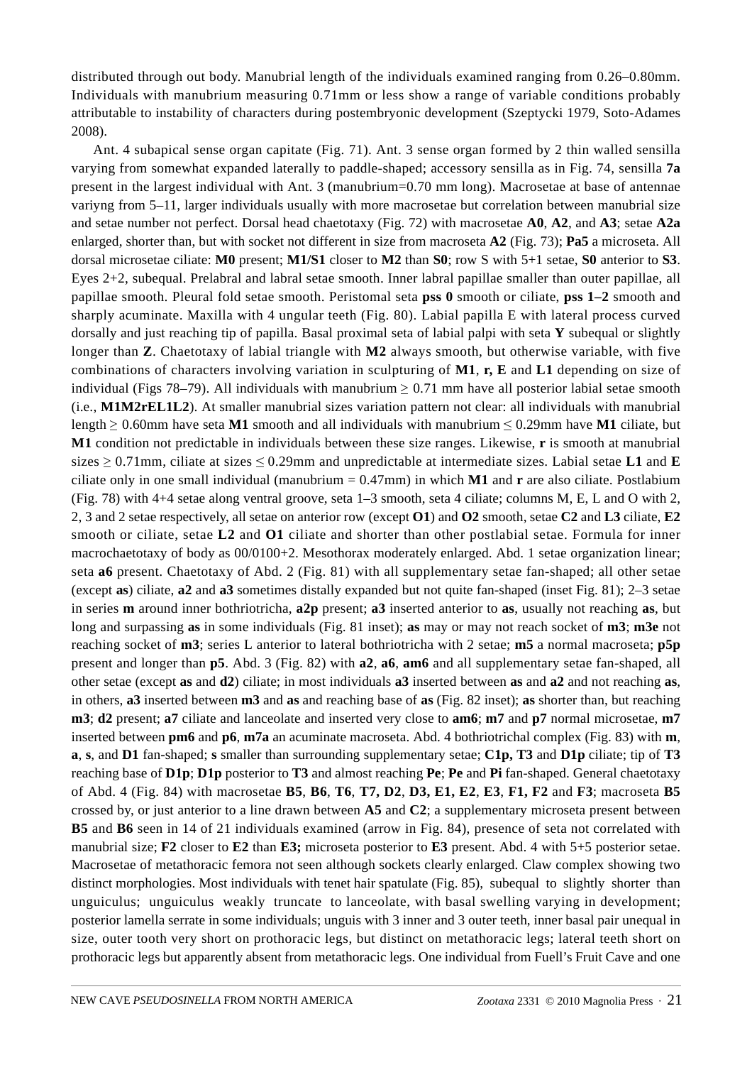distributed through out body. Manubrial length of the individuals examined ranging from 0.26–0.80mm. Individuals with manubrium measuring 0.71mm or less show a range of variable conditions probably attributable to instability of characters during postembryonic development (Szeptycki 1979, Soto-Adames 2008).

Ant. 4 subapical sense organ capitate (Fig. 71). Ant. 3 sense organ formed by 2 thin walled sensilla varying from somewhat expanded laterally to paddle-shaped; accessory sensilla as in Fig. 74, sensilla **7a** present in the largest individual with Ant. 3 (manubrium=0.70 mm long). Macrosetae at base of antennae variyng from 5–11, larger individuals usually with more macrosetae but correlation between manubrial size and setae number not perfect. Dorsal head chaetotaxy (Fig. 72) with macrosetae **A0**, **A2**, and **A3**; setae **A2a** enlarged, shorter than, but with socket not different in size from macroseta **A2** (Fig. 73); **Pa5** a microseta. All dorsal microsetae ciliate: **M0** present; **M1/S1** closer to **M2** than **S0**; row S with 5+1 setae, **S0** anterior to **S3**. Eyes 2+2, subequal. Prelabral and labral setae smooth. Inner labral papillae smaller than outer papillae, all papillae smooth. Pleural fold setae smooth. Peristomal seta **pss 0** smooth or ciliate, **pss 1–2** smooth and sharply acuminate. Maxilla with 4 ungular teeth (Fig. 80). Labial papilla E with lateral process curved dorsally and just reaching tip of papilla. Basal proximal seta of labial palpi with seta **Y** subequal or slightly longer than **Z**. Chaetotaxy of labial triangle with **M2** always smooth, but otherwise variable, with five combinations of characters involving variation in sculpturing of **M1**, **r, E** and **L1** depending on size of individual (Figs 78–79). All individuals with manubrium  $\geq 0.71$  mm have all posterior labial setae smooth (i.e., **M1M2rEL1L2**). At smaller manubrial sizes variation pattern not clear: all individuals with manubrial length ≥ 0.60mm have seta **M1** smooth and all individuals with manubrium ≤ 0.29mm have **M1** ciliate, but **M1** condition not predictable in individuals between these size ranges. Likewise, **r** is smooth at manubrial sizes  $\geq 0.71$ mm, ciliate at sizes  $\leq 0.29$ mm and unpredictable at intermediate sizes. Labial setae **L1** and **E** ciliate only in one small individual (manubrium = 0.47mm) in which **M1** and **r** are also ciliate. Postlabium (Fig. 78) with 4+4 setae along ventral groove, seta 1–3 smooth, seta 4 ciliate; columns M, E, L and O with 2, 2, 3 and 2 setae respectively, all setae on anterior row (except **O1**) and **O2** smooth, setae **C2** and **L3** ciliate, **E2** smooth or ciliate, setae **L2** and **O1** ciliate and shorter than other postlabial setae. Formula for inner macrochaetotaxy of body as 00/0100+2. Mesothorax moderately enlarged. Abd. 1 setae organization linear; seta **a6** present. Chaetotaxy of Abd. 2 (Fig. 81) with all supplementary setae fan-shaped; all other setae (except **as**) ciliate, **a2** and **a3** sometimes distally expanded but not quite fan-shaped (inset Fig. 81); 2–3 setae in series **m** around inner bothriotricha, **a2p** present; **a3** inserted anterior to **as**, usually not reaching **as**, but long and surpassing **as** in some individuals (Fig. 81 inset); **as** may or may not reach socket of **m3**; **m3e** not reaching socket of **m3**; series L anterior to lateral bothriotricha with 2 setae; **m5** a normal macroseta; **p5p** present and longer than **p5**. Abd. 3 (Fig. 82) with **a2**, **a6**, **am6** and all supplementary setae fan-shaped, all other setae (except **as** and **d2**) ciliate; in most individuals **a3** inserted between **as** and **a2** and not reaching **as**, in others, **a3** inserted between **m3** and **as** and reaching base of **as** (Fig. 82 inset); **as** shorter than, but reaching **m3**; **d2** present; **a7** ciliate and lanceolate and inserted very close to **am6**; **m7** and **p7** normal microsetae, **m7** inserted between **pm6** and **p6**, **m7a** an acuminate macroseta. Abd. 4 bothriotrichal complex (Fig. 83) with **m**, **a**, **s**, and **D1** fan-shaped; **s** smaller than surrounding supplementary setae; **C1p, T3** and **D1p** ciliate; tip of **T3** reaching base of **D1p**; **D1p** posterior to **T3** and almost reaching **Pe**; **Pe** and **Pi** fan-shaped. General chaetotaxy of Abd. 4 (Fig. 84) with macrosetae **B5**, **B6**, **T6**, **T7, D2**, **D3, E1, E2**, **E3**, **F1, F2** and **F3**; macroseta **B5** crossed by, or just anterior to a line drawn between **A5** and **C2**; a supplementary microseta present between **B5** and **B6** seen in 14 of 21 individuals examined (arrow in Fig. 84), presence of seta not correlated with manubrial size; **F2** closer to **E2** than **E3;** microseta posterior to **E3** present. Abd. 4 with 5+5 posterior setae. Macrosetae of metathoracic femora not seen although sockets clearly enlarged. Claw complex showing two distinct morphologies. Most individuals with tenet hair spatulate (Fig. 85), subequal to slightly shorter than unguiculus; unguiculus weakly truncate to lanceolate, with basal swelling varying in development; posterior lamella serrate in some individuals; unguis with 3 inner and 3 outer teeth, inner basal pair unequal in size, outer tooth very short on prothoracic legs, but distinct on metathoracic legs; lateral teeth short on prothoracic legs but apparently absent from metathoracic legs. One individual from Fuell's Fruit Cave and one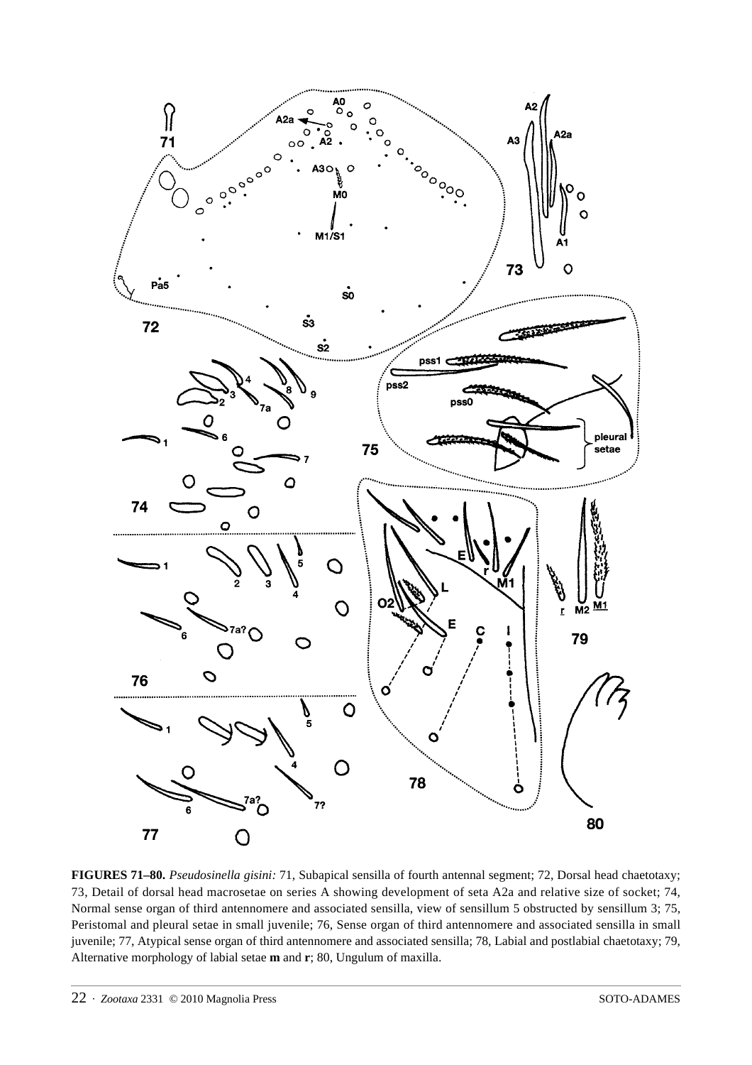

**FIGURES 71–80.** *Pseudosinella gisini:* 71, Subapical sensilla of fourth antennal segment; 72, Dorsal head chaetotaxy; 73, Detail of dorsal head macrosetae on series A showing development of seta A2a and relative size of socket; 74, Normal sense organ of third antennomere and associated sensilla, view of sensillum 5 obstructed by sensillum 3; 75, Peristomal and pleural setae in small juvenile; 76, Sense organ of third antennomere and associated sensilla in small juvenile; 77, Atypical sense organ of third antennomere and associated sensilla; 78, Labial and postlabial chaetotaxy; 79, Alternative morphology of labial setae **m** and **r**; 80, Ungulum of maxilla.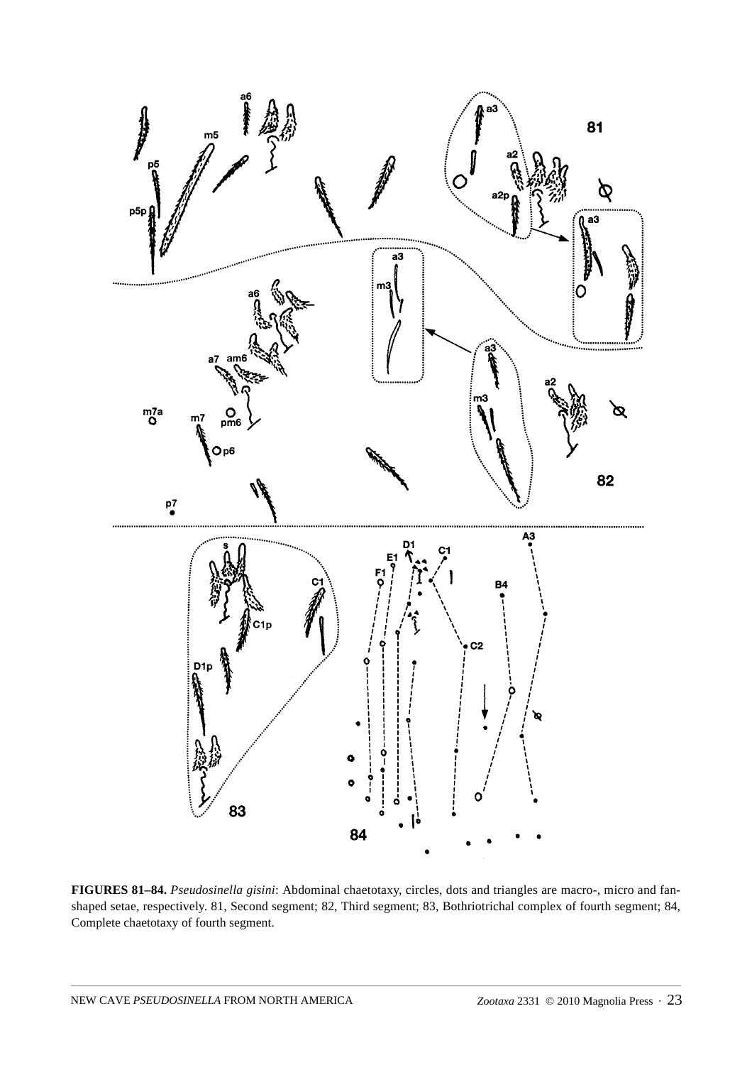

**FIGURES 81–84.** *Pseudosinella gisini*: Abdominal chaetotaxy, circles, dots and triangles are macro-, micro and fanshaped setae, respectively. 81, Second segment; 82, Third segment; 83, Bothriotrichal complex of fourth segment; 84, Complete chaetotaxy of fourth segment.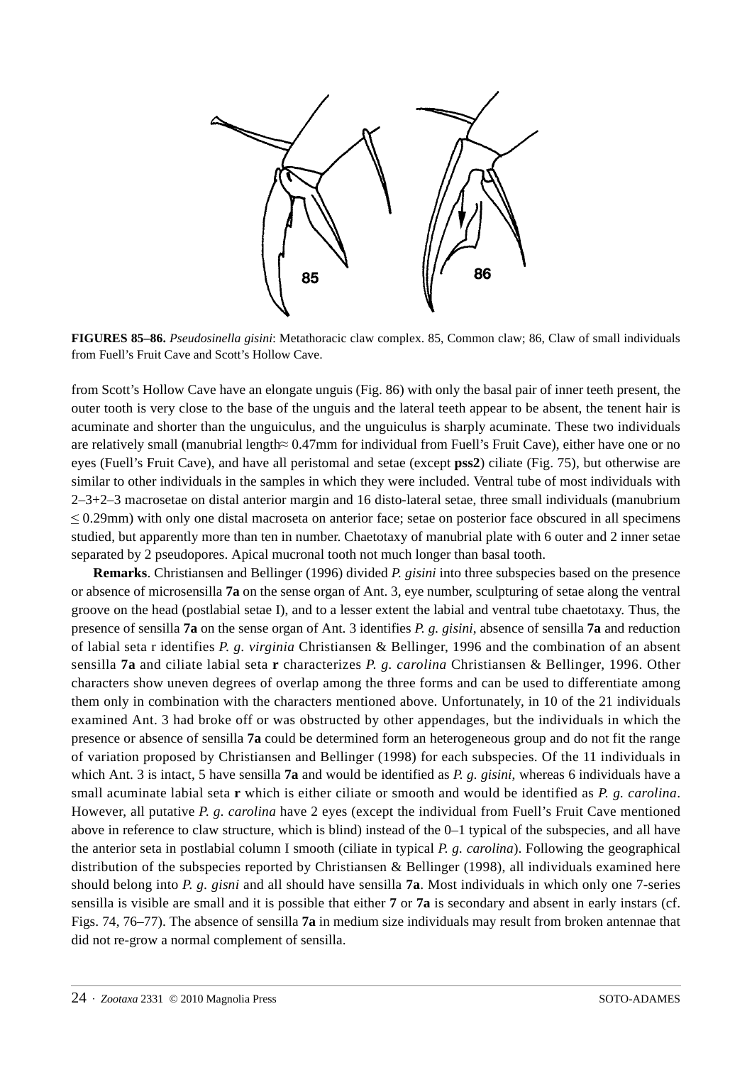

**FIGURES 85–86.** *Pseudosinella gisini*: Metathoracic claw complex. 85, Common claw; 86, Claw of small individuals from Fuell's Fruit Cave and Scott's Hollow Cave.

from Scott's Hollow Cave have an elongate unguis (Fig. 86) with only the basal pair of inner teeth present, the outer tooth is very close to the base of the unguis and the lateral teeth appear to be absent, the tenent hair is acuminate and shorter than the unguiculus, and the unguiculus is sharply acuminate. These two individuals are relatively small (manubrial length≈ 0.47mm for individual from Fuell's Fruit Cave), either have one or no eyes (Fuell's Fruit Cave), and have all peristomal and setae (except **pss2**) ciliate (Fig. 75), but otherwise are similar to other individuals in the samples in which they were included. Ventral tube of most individuals with  $2-3+2-3$  macrosetae on distal anterior margin and 16 disto-lateral setae, three small individuals (manubrium <sup>≤</sup> 0.29mm) with only one distal macroseta on anterior face; setae on posterior face obscured in all specimens studied, but apparently more than ten in number. Chaetotaxy of manubrial plate with 6 outer and 2 inner setae separated by 2 pseudopores. Apical mucronal tooth not much longer than basal tooth.

**Remarks**. Christiansen and Bellinger (1996) divided *P. gisini* into three subspecies based on the presence or absence of microsensilla **7a** on the sense organ of Ant. 3, eye number, sculpturing of setae along the ventral groove on the head (postlabial setae I), and to a lesser extent the labial and ventral tube chaetotaxy. Thus, the presence of sensilla **7a** on the sense organ of Ant. 3 identifies *P. g. gisini*, absence of sensilla **7a** and reduction of labial seta r identifies *P. g. virginia* Christiansen & Bellinger, 1996 and the combination of an absent sensilla **7a** and ciliate labial seta **r** characterizes *P. g. carolina* Christiansen & Bellinger, 1996. Other characters show uneven degrees of overlap among the three forms and can be used to differentiate among them only in combination with the characters mentioned above. Unfortunately, in 10 of the 21 individuals examined Ant. 3 had broke off or was obstructed by other appendages, but the individuals in which the presence or absence of sensilla **7a** could be determined form an heterogeneous group and do not fit the range of variation proposed by Christiansen and Bellinger (1998) for each subspecies. Of the 11 individuals in which Ant. 3 is intact, 5 have sensilla **7a** and would be identified as *P. g. gisini*, whereas 6 individuals have a small acuminate labial seta **r** which is either ciliate or smooth and would be identified as *P. g. carolina*. However, all putative *P. g. carolina* have 2 eyes (except the individual from Fuell's Fruit Cave mentioned above in reference to claw structure, which is blind) instead of the 0–1 typical of the subspecies, and all have the anterior seta in postlabial column I smooth (ciliate in typical *P. g. carolina*). Following the geographical distribution of the subspecies reported by Christiansen & Bellinger (1998), all individuals examined here should belong into *P. g. gisni* and all should have sensilla **7a**. Most individuals in which only one 7-series sensilla is visible are small and it is possible that either **7** or **7a** is secondary and absent in early instars (cf. Figs. 74, 76–77). The absence of sensilla **7a** in medium size individuals may result from broken antennae that did not re-grow a normal complement of sensilla.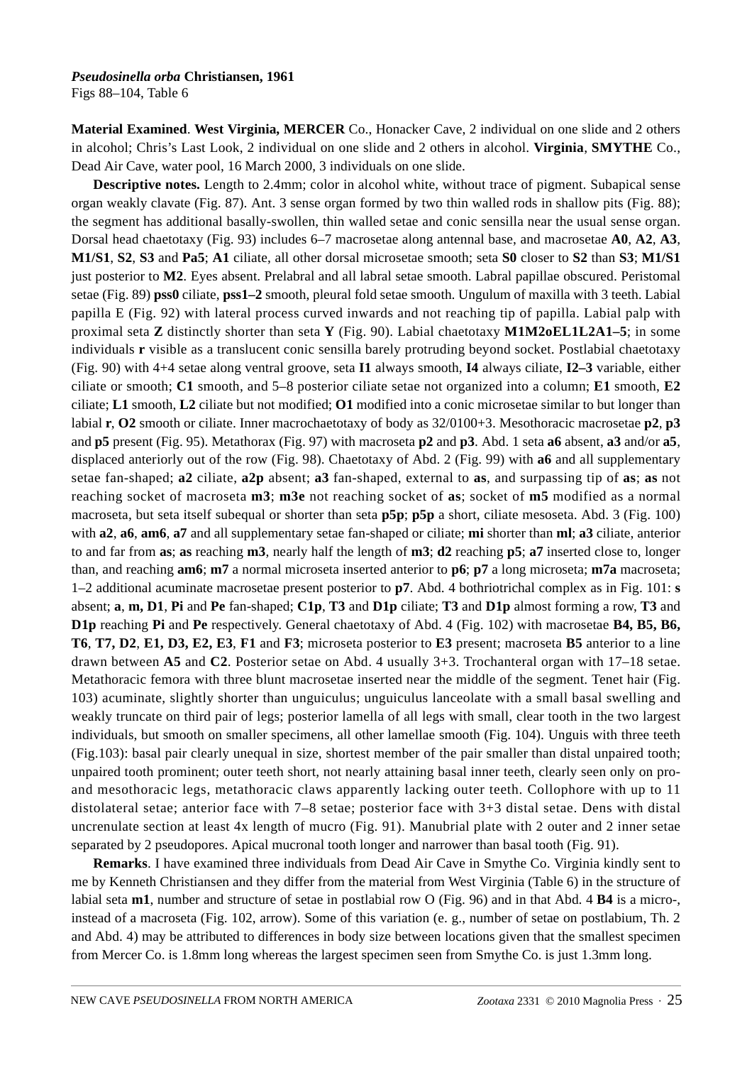Figs 88–104, Table 6

**Material Examined**. **West Virginia, MERCER** Co., Honacker Cave, 2 individual on one slide and 2 others in alcohol; Chris's Last Look, 2 individual on one slide and 2 others in alcohol. **Virginia**, **SMYTHE** Co., Dead Air Cave, water pool, 16 March 2000, 3 individuals on one slide.

**Descriptive notes.** Length to 2.4mm; color in alcohol white, without trace of pigment. Subapical sense organ weakly clavate (Fig. 87). Ant. 3 sense organ formed by two thin walled rods in shallow pits (Fig. 88); the segment has additional basally-swollen, thin walled setae and conic sensilla near the usual sense organ. Dorsal head chaetotaxy (Fig. 93) includes 6–7 macrosetae along antennal base, and macrosetae **A0**, **A2**, **A3**, **M1/S1**, **S2**, **S3** and **Pa5**; **A1** ciliate, all other dorsal microsetae smooth; seta **S0** closer to **S2** than **S3**; **M1/S1** just posterior to **M2**. Eyes absent. Prelabral and all labral setae smooth. Labral papillae obscured. Peristomal setae (Fig. 89) **pss0** ciliate, **pss1–2** smooth, pleural fold setae smooth. Ungulum of maxilla with 3 teeth. Labial papilla E (Fig. 92) with lateral process curved inwards and not reaching tip of papilla. Labial palp with proximal seta **Z** distinctly shorter than seta **Y** (Fig. 90). Labial chaetotaxy **M1M2oEL1L2A1–5**; in some individuals **r** visible as a translucent conic sensilla barely protruding beyond socket. Postlabial chaetotaxy (Fig. 90) with 4+4 setae along ventral groove, seta **I1** always smooth, **I4** always ciliate, **I2–3** variable, either ciliate or smooth; **C1** smooth, and 5–8 posterior ciliate setae not organized into a column; **E1** smooth, **E2** ciliate; **L1** smooth, **L2** ciliate but not modified; **O1** modified into a conic microsetae similar to but longer than labial **r**, **O2** smooth or ciliate. Inner macrochaetotaxy of body as 32/0100+3. Mesothoracic macrosetae **p2**, **p3** and **p5** present (Fig. 95). Metathorax (Fig. 97) with macroseta **p2** and **p3**. Abd. 1 seta **a6** absent, **a3** and/or **a5**, displaced anteriorly out of the row (Fig. 98). Chaetotaxy of Abd. 2 (Fig. 99) with **a6** and all supplementary setae fan-shaped; **a2** ciliate, **a2p** absent; **a3** fan-shaped, external to **as**, and surpassing tip of **as**; **as** not reaching socket of macroseta **m3**; **m3e** not reaching socket of **as**; socket of **m5** modified as a normal macroseta, but seta itself subequal or shorter than seta **p5p**; **p5p** a short, ciliate mesoseta. Abd. 3 (Fig. 100) with **a2**, **a6**, **am6**, **a7** and all supplementary setae fan-shaped or ciliate; **mi** shorter than **ml**; **a3** ciliate, anterior to and far from **as**; **as** reaching **m3**, nearly half the length of **m3**; **d2** reaching **p5**; **a7** inserted close to, longer than, and reaching **am6**; **m7** a normal microseta inserted anterior to **p6**; **p7** a long microseta; **m7a** macroseta; 1–2 additional acuminate macrosetae present posterior to **p7**. Abd. 4 bothriotrichal complex as in Fig. 101: **s** absent; **a**, **m, D1**, **Pi** and **Pe** fan-shaped; **C1p**, **T3** and **D1p** ciliate; **T3** and **D1p** almost forming a row, **T3** and **D1p** reaching **Pi** and **Pe** respectively. General chaetotaxy of Abd. 4 (Fig. 102) with macrosetae **B4, B5, B6, T6**, **T7, D2**, **E1, D3, E2, E3**, **F1** and **F3**; microseta posterior to **E3** present; macroseta **B5** anterior to a line drawn between **A5** and **C2**. Posterior setae on Abd. 4 usually 3+3. Trochanteral organ with 17–18 setae. Metathoracic femora with three blunt macrosetae inserted near the middle of the segment. Tenet hair (Fig. 103) acuminate, slightly shorter than unguiculus; unguiculus lanceolate with a small basal swelling and weakly truncate on third pair of legs; posterior lamella of all legs with small, clear tooth in the two largest individuals, but smooth on smaller specimens, all other lamellae smooth (Fig. 104). Unguis with three teeth (Fig.103): basal pair clearly unequal in size, shortest member of the pair smaller than distal unpaired tooth; unpaired tooth prominent; outer teeth short, not nearly attaining basal inner teeth, clearly seen only on proand mesothoracic legs, metathoracic claws apparently lacking outer teeth. Collophore with up to 11 distolateral setae; anterior face with 7–8 setae; posterior face with 3+3 distal setae. Dens with distal uncrenulate section at least 4x length of mucro (Fig. 91). Manubrial plate with 2 outer and 2 inner setae separated by 2 pseudopores. Apical mucronal tooth longer and narrower than basal tooth (Fig. 91).

**Remarks**. I have examined three individuals from Dead Air Cave in Smythe Co. Virginia kindly sent to me by Kenneth Christiansen and they differ from the material from West Virginia (Table 6) in the structure of labial seta **m1**, number and structure of setae in postlabial row O (Fig. 96) and in that Abd. 4 **B4** is a micro-, instead of a macroseta (Fig. 102, arrow). Some of this variation (e. g., number of setae on postlabium, Th. 2 and Abd. 4) may be attributed to differences in body size between locations given that the smallest specimen from Mercer Co. is 1.8mm long whereas the largest specimen seen from Smythe Co. is just 1.3mm long.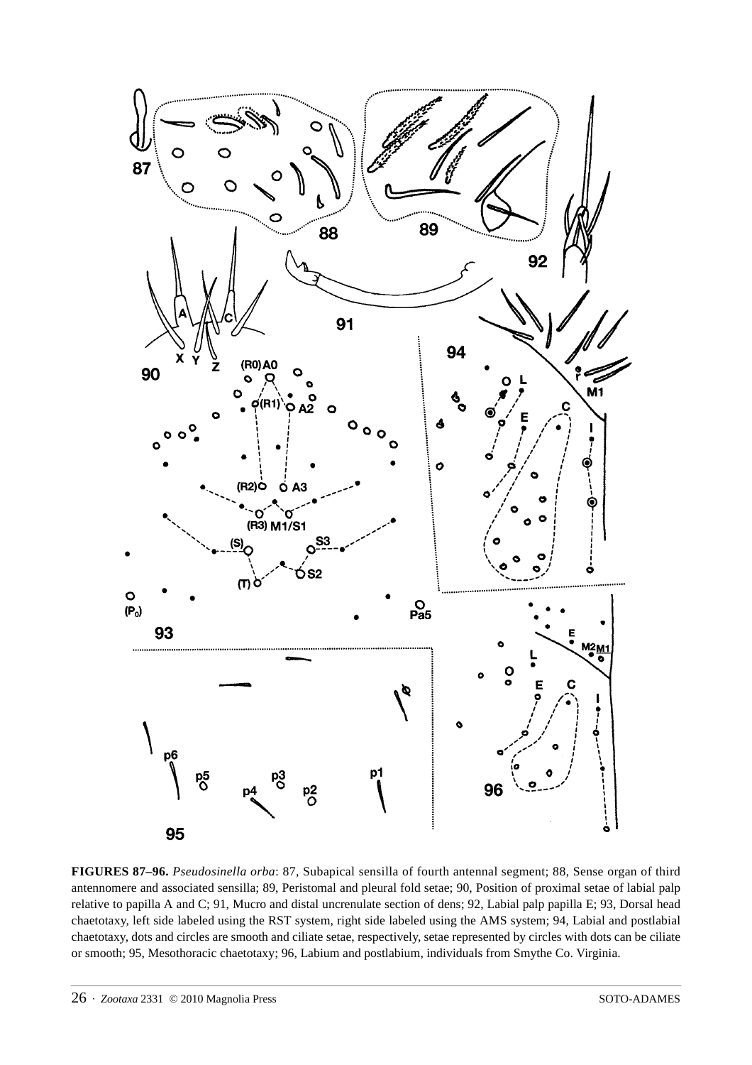

**FIGURES 87–96.** *Pseudosinella orba*: 87, Subapical sensilla of fourth antennal segment; 88, Sense organ of third antennomere and associated sensilla; 89, Peristomal and pleural fold setae; 90, Position of proximal setae of labial palp relative to papilla A and C; 91, Mucro and distal uncrenulate section of dens; 92, Labial palp papilla E; 93, Dorsal head chaetotaxy, left side labeled using the RST system, right side labeled using the AMS system; 94, Labial and postlabial chaetotaxy, dots and circles are smooth and ciliate setae, respectively, setae represented by circles with dots can be ciliate or smooth; 95, Mesothoracic chaetotaxy; 96, Labium and postlabium, individuals from Smythe Co. Virginia.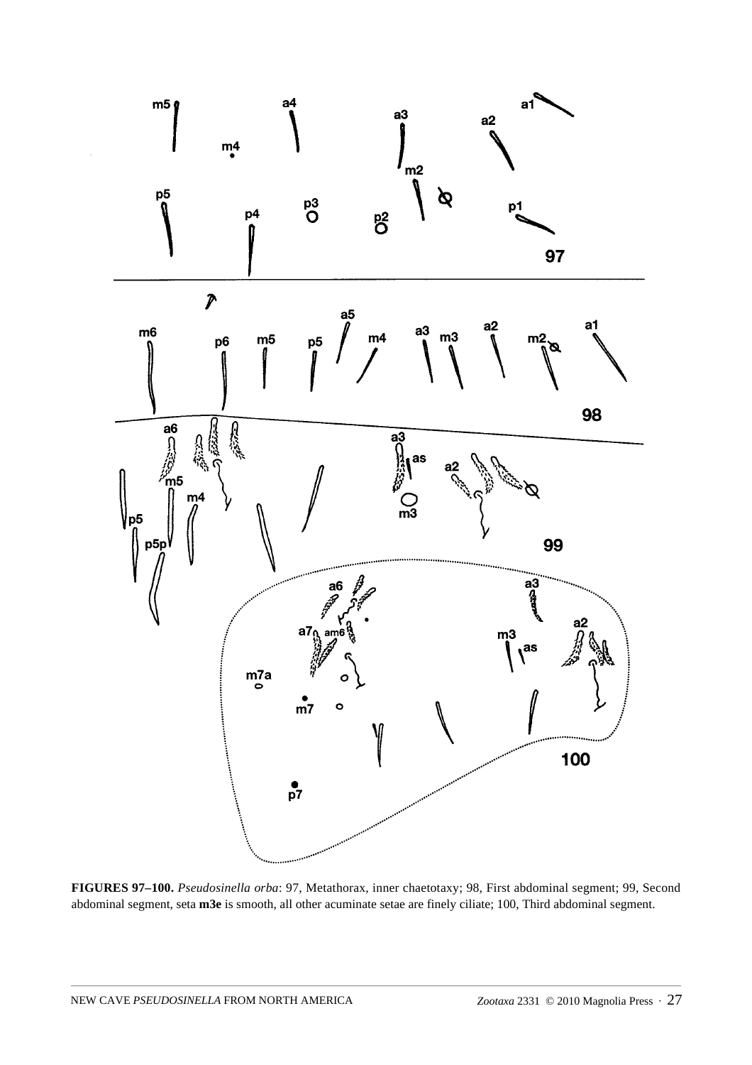

**FIGURES 97–100.** *Pseudosinella orba*: 97, Metathorax, inner chaetotaxy; 98, First abdominal segment; 99, Second abdominal segment, seta **m3e** is smooth, all other acuminate setae are finely ciliate; 100, Third abdominal segment.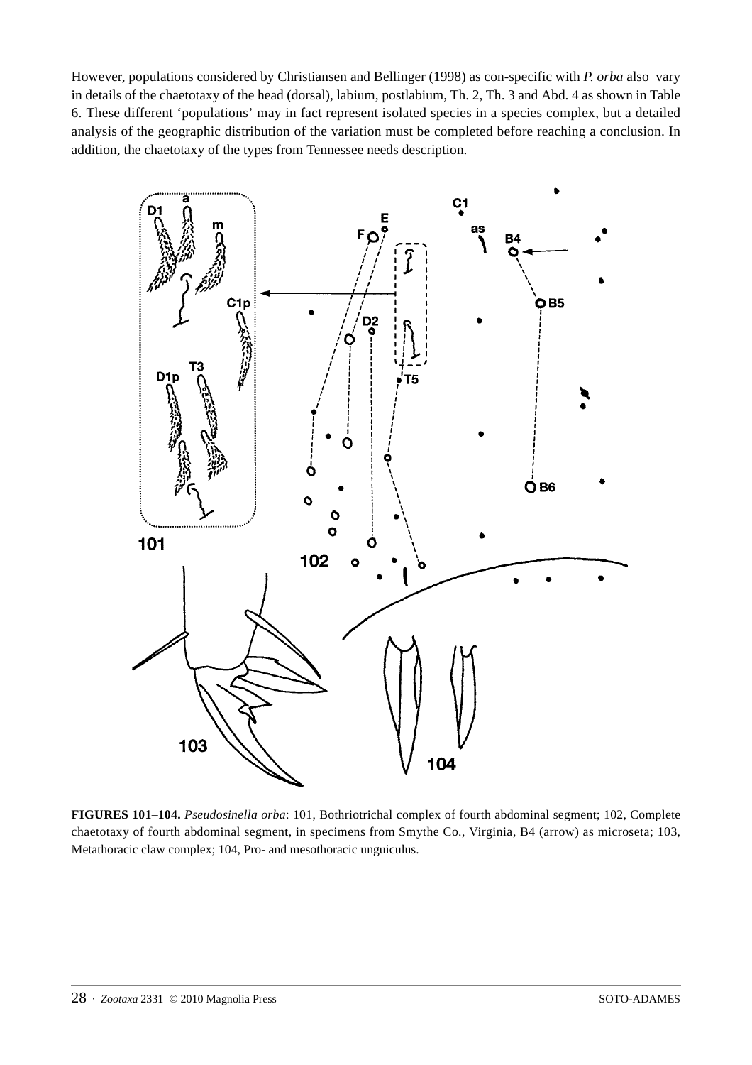However, populations considered by Christiansen and Bellinger (1998) as con-specific with *P. orba* also vary in details of the chaetotaxy of the head (dorsal), labium, postlabium, Th. 2, Th. 3 and Abd. 4 as shown in Table 6. These different 'populations' may in fact represent isolated species in a species complex, but a detailed analysis of the geographic distribution of the variation must be completed before reaching a conclusion. In addition, the chaetotaxy of the types from Tennessee needs description.



**FIGURES 101–104.** *Pseudosinella orba*: 101, Bothriotrichal complex of fourth abdominal segment; 102, Complete chaetotaxy of fourth abdominal segment, in specimens from Smythe Co., Virginia, B4 (arrow) as microseta; 103, Metathoracic claw complex; 104, Pro- and mesothoracic unguiculus.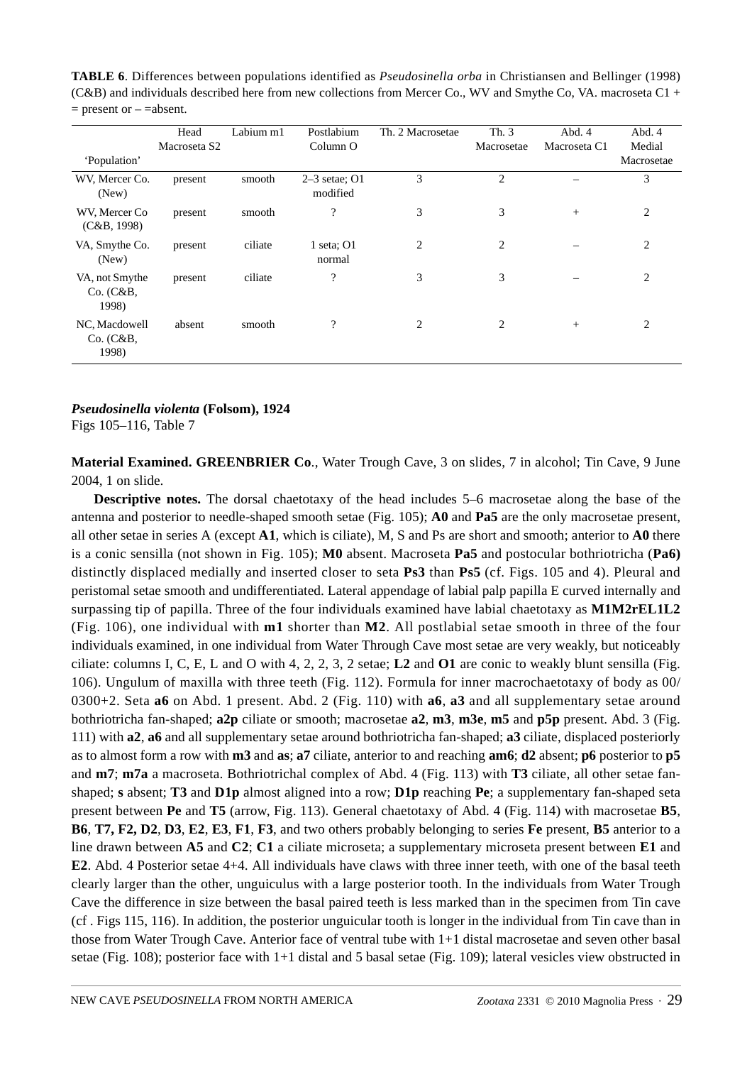|                                      | Head<br>Macroseta S <sub>2</sub> | Labium m1 | Postlabium<br>Column O      | Th. 2 Macrosetae | Th. 3<br>Macrosetae | Abd. 4<br>Macroseta C1 | Abd. 4<br>Medial |
|--------------------------------------|----------------------------------|-----------|-----------------------------|------------------|---------------------|------------------------|------------------|
| 'Population'                         |                                  |           |                             |                  |                     |                        | Macrosetae       |
| WV, Mercer Co.<br>(New)              | present                          | smooth    | $2-3$ setae; O1<br>modified | 3                | $\overline{2}$      |                        | 3                |
| WV, Mercer Co.<br>(C&B, 1998)        | present                          | smooth    | ?                           | 3                | 3                   | $+$                    | 2                |
| VA, Smythe Co.<br>(New)              | present                          | ciliate   | 1 seta; $O1$<br>normal      | 2                | 2                   |                        | 2                |
| VA, not Smythe<br>Co. (C&B,<br>1998) | present                          | ciliate   | $\overline{\cdot}$          | 3                | 3                   |                        | 2                |
| NC, Macdowell<br>Co. (C&B,<br>1998)  | absent                           | smooth    | ?                           | 2                | 2                   | $+$                    | 2                |

**TABLE 6**. Differences between populations identified as *Pseudosinella orba* in Christiansen and Bellinger (1998) (C&B) and individuals described here from new collections from Mercer Co., WV and Smythe Co, VA. macroseta C1 +  $=$  present or  $-$  =absent.

### *Pseudosinella violenta* **(Folsom), 1924**

Figs 105–116, Table 7

**Material Examined. GREENBRIER Co**., Water Trough Cave, 3 on slides, 7 in alcohol; Tin Cave, 9 June 2004, 1 on slide.

**Descriptive notes.** The dorsal chaetotaxy of the head includes 5–6 macrosetae along the base of the antenna and posterior to needle-shaped smooth setae (Fig. 105); **A0** and **Pa5** are the only macrosetae present, all other setae in series A (except **A1**, which is ciliate), M, S and Ps are short and smooth; anterior to **A0** there is a conic sensilla (not shown in Fig. 105); **M0** absent. Macroseta **Pa5** and postocular bothriotricha (**Pa6)** distinctly displaced medially and inserted closer to seta **Ps3** than **Ps5** (cf. Figs. 105 and 4). Pleural and peristomal setae smooth and undifferentiated. Lateral appendage of labial palp papilla E curved internally and surpassing tip of papilla. Three of the four individuals examined have labial chaetotaxy as **M1M2rEL1L2** (Fig. 106), one individual with **m1** shorter than **M2**. All postlabial setae smooth in three of the four individuals examined, in one individual from Water Through Cave most setae are very weakly, but noticeably ciliate: columns I, C, E, L and O with 4, 2, 2, 3, 2 setae; **L2** and **O1** are conic to weakly blunt sensilla (Fig. 106). Ungulum of maxilla with three teeth (Fig. 112). Formula for inner macrochaetotaxy of body as 00/ 0300+2. Seta **a6** on Abd. 1 present. Abd. 2 (Fig. 110) with **a6**, **a3** and all supplementary setae around bothriotricha fan-shaped; **a2p** ciliate or smooth; macrosetae **a2**, **m3**, **m3e**, **m5** and **p5p** present. Abd. 3 (Fig. 111) with **a2**, **a6** and all supplementary setae around bothriotricha fan-shaped; **a3** ciliate, displaced posteriorly as to almost form a row with **m3** and **as**; **a7** ciliate, anterior to and reaching **am6**; **d2** absent; **p6** posterior to **p5** and **m7**; **m7a** a macroseta. Bothriotrichal complex of Abd. 4 (Fig. 113) with **T3** ciliate, all other setae fanshaped; **s** absent; **T3** and **D1p** almost aligned into a row; **D1p** reaching **Pe**; a supplementary fan-shaped seta present between **Pe** and **T5** (arrow, Fig. 113). General chaetotaxy of Abd. 4 (Fig. 114) with macrosetae **B5**, **B6**, **T7, F2, D2**, **D3**, **E2**, **E3**, **F1**, **F3**, and two others probably belonging to series **Fe** present, **B5** anterior to a line drawn between **A5** and **C2**; **C1** a ciliate microseta; a supplementary microseta present between **E1** and **E2**. Abd. 4 Posterior setae 4+4. All individuals have claws with three inner teeth, with one of the basal teeth clearly larger than the other, unguiculus with a large posterior tooth. In the individuals from Water Trough Cave the difference in size between the basal paired teeth is less marked than in the specimen from Tin cave (cf . Figs 115, 116). In addition, the posterior unguicular tooth is longer in the individual from Tin cave than in those from Water Trough Cave. Anterior face of ventral tube with 1+1 distal macrosetae and seven other basal setae (Fig. 108); posterior face with 1+1 distal and 5 basal setae (Fig. 109); lateral vesicles view obstructed in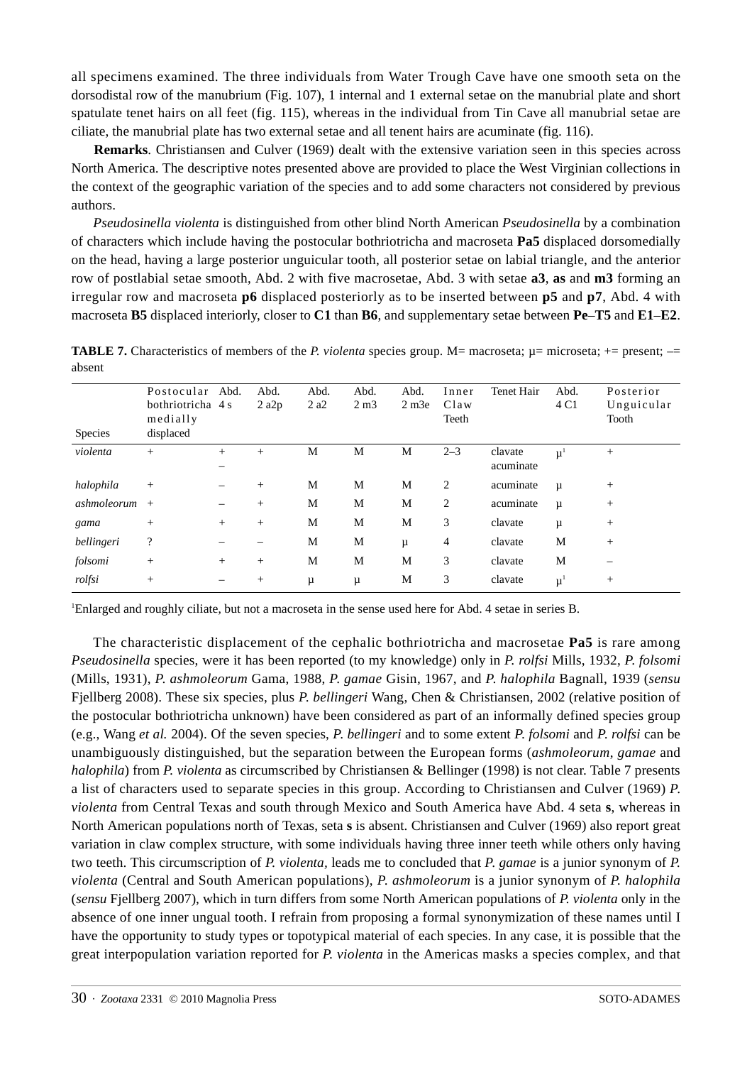all specimens examined. The three individuals from Water Trough Cave have one smooth seta on the dorsodistal row of the manubrium (Fig. 107), 1 internal and 1 external setae on the manubrial plate and short spatulate tenet hairs on all feet (fig. 115), whereas in the individual from Tin Cave all manubrial setae are ciliate, the manubrial plate has two external setae and all tenent hairs are acuminate (fig. 116).

**Remarks**. Christiansen and Culver (1969) dealt with the extensive variation seen in this species across North America. The descriptive notes presented above are provided to place the West Virginian collections in the context of the geographic variation of the species and to add some characters not considered by previous authors.

*Pseudosinella violenta* is distinguished from other blind North American *Pseudosinella* by a combination of characters which include having the postocular bothriotricha and macroseta **Pa5** displaced dorsomedially on the head, having a large posterior unguicular tooth, all posterior setae on labial triangle, and the anterior row of postlabial setae smooth, Abd. 2 with five macrosetae, Abd. 3 with setae **a3**, **as** and **m3** forming an irregular row and macroseta **p6** displaced posteriorly as to be inserted between **p5** and **p7**, Abd. 4 with macroseta **B5** displaced interiorly, closer to **C1** than **B6**, and supplementary setae between **Pe**–**T5** and **E1**–**E2**.

| <b>Species</b> | Postocular<br>bothriotricha 4 s<br>medially<br>displaced | Abd.                     | Abd.<br>$2$ a $2p$ | Abd.<br>2a2 | Abd.<br>2 m3 | Abd.<br>$2 \text{ m}$ 3e | Inner<br>Claw<br>Teeth | Tenet Hair           | Abd.<br>4 C1  | Posterior<br>Unguicular<br>Tooth |
|----------------|----------------------------------------------------------|--------------------------|--------------------|-------------|--------------|--------------------------|------------------------|----------------------|---------------|----------------------------------|
| violenta       | $^{+}$                                                   | $+$<br>—                 | $^{+}$             | M           | M            | M                        | $2 - 3$                | clavate<br>acuminate | $\mu^1$       | $+$                              |
| halophila      | $^{+}$                                                   |                          | $^{+}$             | M           | М            | M                        | 2                      | acuminate            | $\mu$         | $^{+}$                           |
| ashmoleorum    | $+$                                                      | —                        | $^{+}$             | M           | M            | M                        | 2                      | acuminate            | $\mu$         | $^{+}$                           |
| gama           | $^{+}$                                                   | $+$                      | $^{+}$             | M           | M            | M                        | 3                      | clavate              | $\mu$         | $^{+}$                           |
| bellingeri     | $\overline{\mathcal{L}}$                                 |                          |                    | M           | M            | μ                        | 4                      | clavate              | M             | $^{+}$                           |
| folsomi        | $^{+}$                                                   | $+$                      | $^{+}$             | M           | M            | M                        | 3                      | clavate              | M             |                                  |
| rolfsi         | $^{+}$                                                   | $\overline{\phantom{0}}$ | $^{+}$             | μ           | μ            | M                        | 3                      | clavate              | $\mu^{\perp}$ | $^{+}$                           |

**TABLE 7.** Characteristics of members of the *P. violenta* species group. M= macroseta;  $\mu$ = microseta; += present; -= absent

1 Enlarged and roughly ciliate, but not a macroseta in the sense used here for Abd. 4 setae in series B.

The characteristic displacement of the cephalic bothriotricha and macrosetae **Pa5** is rare among *Pseudosinella* species, were it has been reported (to my knowledge) only in *P. rolfsi* Mills, 1932, *P*. *folsomi* (Mills, 1931), *P*. *ashmoleorum* Gama, 1988, *P*. *gamae* Gisin, 1967, and *P*. *halophila* Bagnall, 1939 (*sensu* Fjellberg 2008). These six species, plus *P*. *bellingeri* Wang, Chen & Christiansen, 2002 (relative position of the postocular bothriotricha unknown) have been considered as part of an informally defined species group (e.g., Wang *et al.* 2004). Of the seven species, *P*. *bellingeri* and to some extent *P*. *folsomi* and *P*. *rolfsi* can be unambiguously distinguished, but the separation between the European forms (*ashmoleorum*, *gamae* and *halophila*) from *P. violenta* as circumscribed by Christiansen & Bellinger (1998) is not clear. Table 7 presents a list of characters used to separate species in this group. According to Christiansen and Culver (1969) *P*. *violenta* from Central Texas and south through Mexico and South America have Abd. 4 seta **s**, whereas in North American populations north of Texas, seta **s** is absent. Christiansen and Culver (1969) also report great variation in claw complex structure, with some individuals having three inner teeth while others only having two teeth. This circumscription of *P. violenta,* leads me to concluded that *P*. *gamae* is a junior synonym of *P. violenta* (Central and South American populations), *P*. *ashmoleorum* is a junior synonym of *P. halophila* (*sensu* Fjellberg 2007), which in turn differs from some North American populations of *P. violenta* only in the absence of one inner ungual tooth. I refrain from proposing a formal synonymization of these names until I have the opportunity to study types or topotypical material of each species. In any case, it is possible that the great interpopulation variation reported for *P. violenta* in the Americas masks a species complex, and that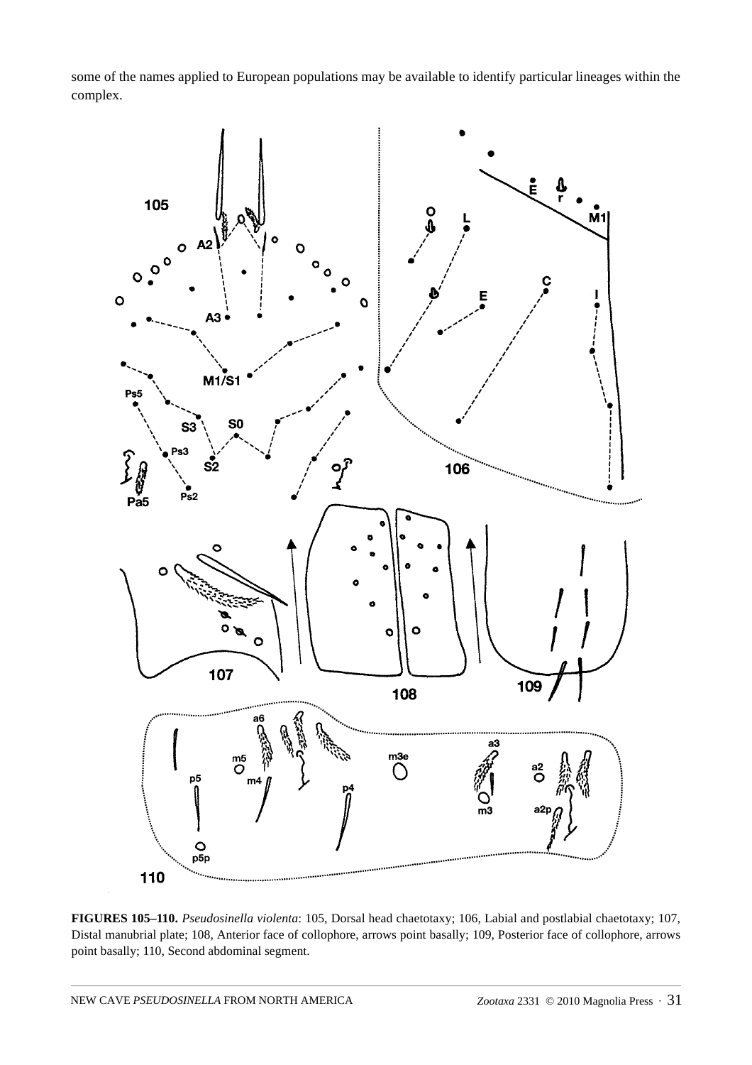some of the names applied to European populations may be available to identify particular lineages within the complex.



**FIGURES 105–110.** *Pseudosinella violenta*: 105, Dorsal head chaetotaxy; 106, Labial and postlabial chaetotaxy; 107, Distal manubrial plate; 108, Anterior face of collophore, arrows point basally; 109, Posterior face of collophore, arrows point basally; 110, Second abdominal segment.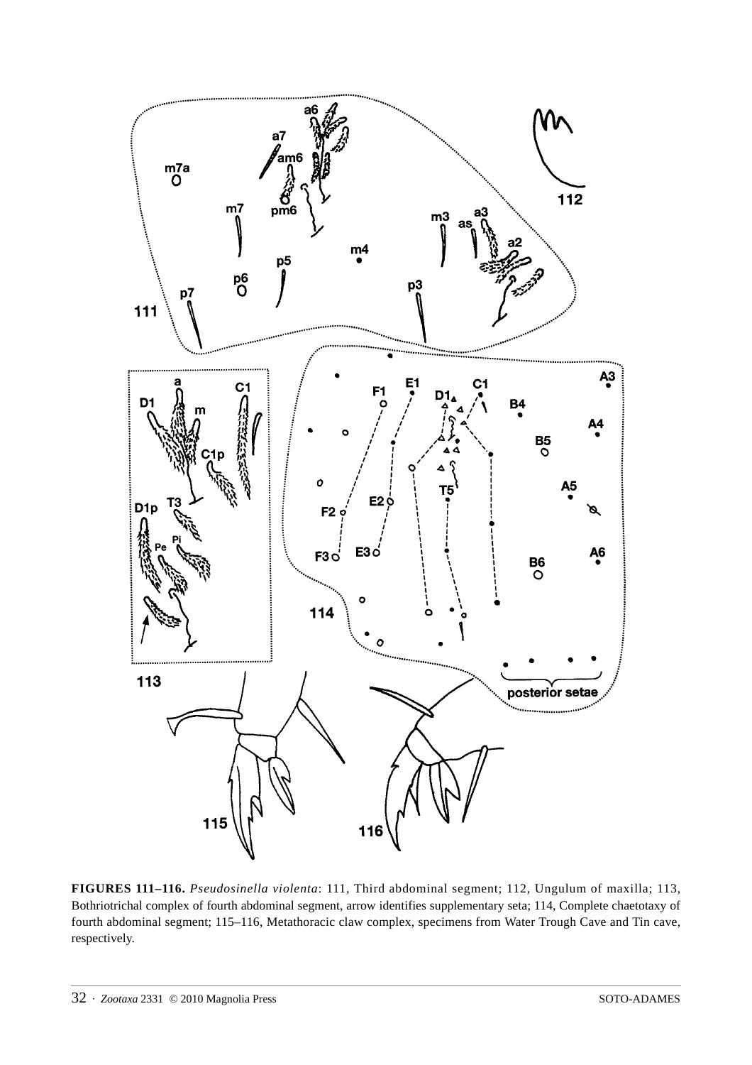

**FIGURES 111–116.** *Pseudosinella violenta*: 111, Third abdominal segment; 112, Ungulum of maxilla; 113, Bothriotrichal complex of fourth abdominal segment, arrow identifies supplementary seta; 114, Complete chaetotaxy of fourth abdominal segment; 115–116, Metathoracic claw complex, specimens from Water Trough Cave and Tin cave, respectively.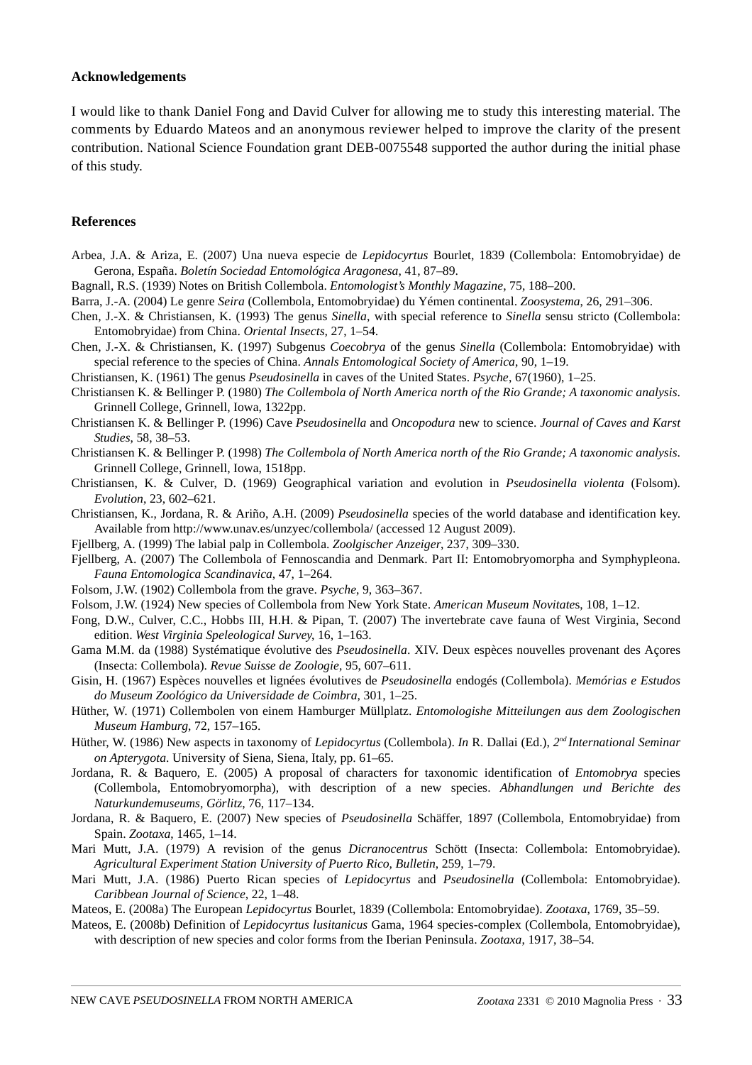#### **Acknowledgements**

I would like to thank Daniel Fong and David Culver for allowing me to study this interesting material. The comments by Eduardo Mateos and an anonymous reviewer helped to improve the clarity of the present contribution. National Science Foundation grant DEB-0075548 supported the author during the initial phase of this study.

#### **References**

- Arbea, J.A. & Ariza, E. (2007) Una nueva especie de *Lepidocyrtus* Bourlet, 1839 (Collembola: Entomobryidae) de Gerona, España. *Boletín Sociedad Entomológica Aragonesa*, 41, 87–89.
- Bagnall, R.S. (1939) Notes on British Collembola. *Entomologist's Monthly Magazine*, 75, 188–200.
- Barra, J.-A. (2004) Le genre *Seira* (Collembola, Entomobryidae) du Yémen continental. *Zoosystema*, 26, 291–306.
- Chen, J.-X. & Christiansen, K. (1993) The genus *Sinella*, with special reference to *Sinella* sensu stricto (Collembola: Entomobryidae) from China. *Oriental Insects,* 27, 1–54.
- Chen, J.-X. & Christiansen, K. (1997) Subgenus *Coecobrya* of the genus *Sinella* (Collembola: Entomobryidae) with special reference to the species of China. *Annals Entomological Society of America*, 90, 1–19.
- Christiansen, K. (1961) The genus *Pseudosinella* in caves of the United States. *Psyche*, 67(1960), 1–25.
- Christiansen K. & Bellinger P. (1980) *The Collembola of North America north of the Rio Grande; A taxonomic analysis*. Grinnell College, Grinnell, Iowa, 1322pp.
- Christiansen K. & Bellinger P. (1996) Cave *Pseudosinella* and *Oncopodura* new to science. *Journal of Caves and Karst Studies*, 58, 38–53.
- Christiansen K. & Bellinger P. (1998) *The Collembola of North America north of the Rio Grande; A taxonomic analysis*. Grinnell College, Grinnell, Iowa, 1518pp.
- Christiansen, K. & Culver, D. (1969) Geographical variation and evolution in *Pseudosinella violenta* (Folsom). *Evolution*, 23, 602–621.
- Christiansen, K., Jordana, R. & Ariño, A.H. (2009) *Pseudosinella* species of the world database and identification key. Available from http://www.unav.es/unzyec/collembola/ (accessed 12 August 2009).
- Fjellberg, A. (1999) The labial palp in Collembola. *Zoolgischer Anzeiger*, 237, 309–330.
- Fjellberg, A. (2007) The Collembola of Fennoscandia and Denmark. Part II: Entomobryomorpha and Symphypleona. *Fauna Entomologica Scandinavica*, 47, 1–264.
- Folsom, J.W. (1902) Collembola from the grave. *Psyche*, 9, 363–367.
- Folsom, J.W. (1924) New species of Collembola from New York State. *American Museum Novitate*s, 108, 1–12.
- Fong, D.W., Culver, C.C., Hobbs III, H.H. & Pipan, T. (2007) The invertebrate cave fauna of West Virginia, Second edition. *West Virginia Speleological Survey*, 16, 1–163.
- Gama M.M. da (1988) Systématique évolutive des *Pseudosinella*. XIV. Deux espèces nouvelles provenant des Açores (Insecta: Collembola). *Revue Suisse de Zoologie*, 95, 607–611.
- Gisin, H. (1967) Espèces nouvelles et lignées évolutives de *Pseudosinella* endogés (Collembola). *Memórias e Estudos do Museum Zoológico da Universidade de Coimbra*, 301, 1–25.
- Hüther, W. (1971) Collembolen von einem Hamburger Müllplatz. *Entomologishe Mitteilungen aus dem Zoologischen Museum Hamburg*, 72, 157–165.
- Hüther, W. (1986) New aspects in taxonomy of *Lepidocyrtus* (Collembola). *In* R. Dallai (Ed.), *2nd International Seminar on Apterygota*. University of Siena, Siena, Italy, pp. 61–65.
- Jordana, R. & Baquero, E. (2005) A proposal of characters for taxonomic identification of *Entomobrya* species (Collembola, Entomobryomorpha), with description of a new species. *Abhandlungen und Berichte des Naturkundemuseums, Görlitz*, 76, 117–134.
- Jordana, R. & Baquero, E. (2007) New species of *Pseudosinella* Schäffer, 1897 (Collembola, Entomobryidae) from Spain. *Zootaxa*, 1465, 1–14.
- Mari Mutt, J.A. (1979) A revision of the genus *Dicranocentrus* Schött (Insecta: Collembola: Entomobryidae). *Agricultural Experiment Station University of Puerto Rico, Bulletin*, 259, 1–79.
- Mari Mutt, J.A. (1986) Puerto Rican species of *Lepidocyrtus* and *Pseudosinella* (Collembola: Entomobryidae). *Caribbean Journal of Science*, 22, 1–48.
- Mateos, E. (2008a) The European *Lepidocyrtus* Bourlet, 1839 (Collembola: Entomobryidae). *Zootaxa*, 1769, 35–59.
- Mateos, E. (2008b) Definition of *Lepidocyrtus lusitanicus* Gama, 1964 species-complex (Collembola, Entomobryidae), with description of new species and color forms from the Iberian Peninsula. *Zootaxa*, 1917, 38–54.